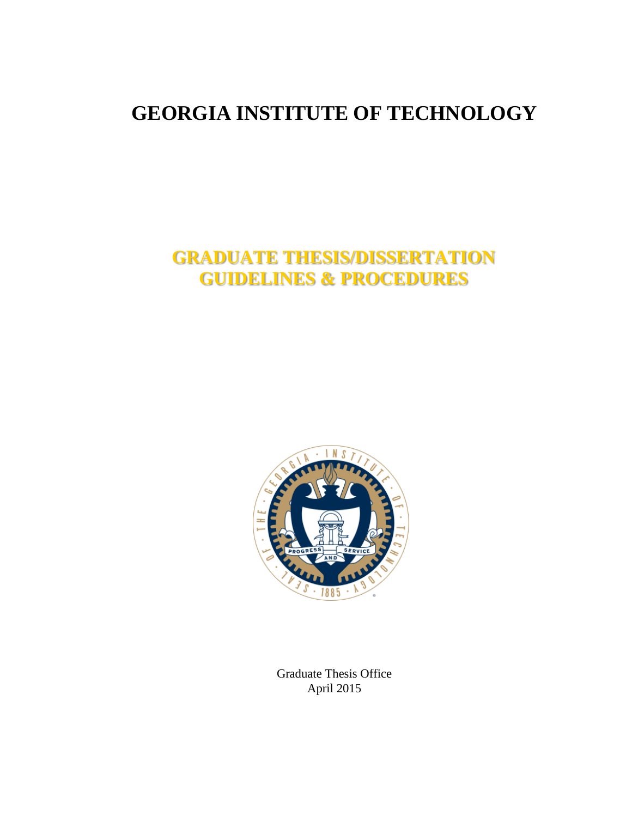# **GEORGIA INSTITUTE OF TECHNOLOGY**

# **GRADUATE THESIS/DISSERTATION GUIDELINES & PROCEDURES**



Graduate Thesis Office April 2015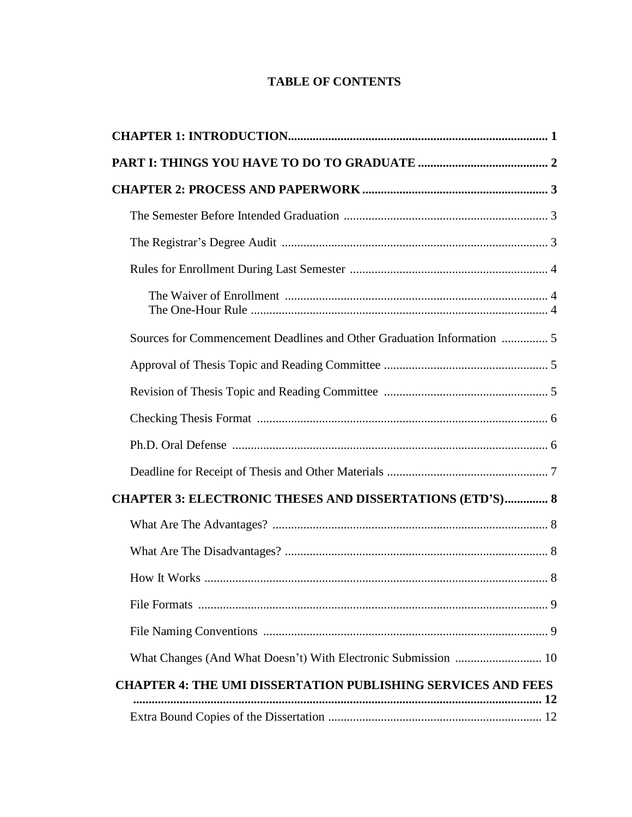## **TABLE OF CONTENTS**

| <b>CHAPTER 3: ELECTRONIC THESES AND DISSERTATIONS (ETD'S) 8</b>     |  |
|---------------------------------------------------------------------|--|
|                                                                     |  |
|                                                                     |  |
|                                                                     |  |
|                                                                     |  |
|                                                                     |  |
|                                                                     |  |
| <b>CHAPTER 4: THE UMI DISSERTATION PUBLISHING SERVICES AND FEES</b> |  |
|                                                                     |  |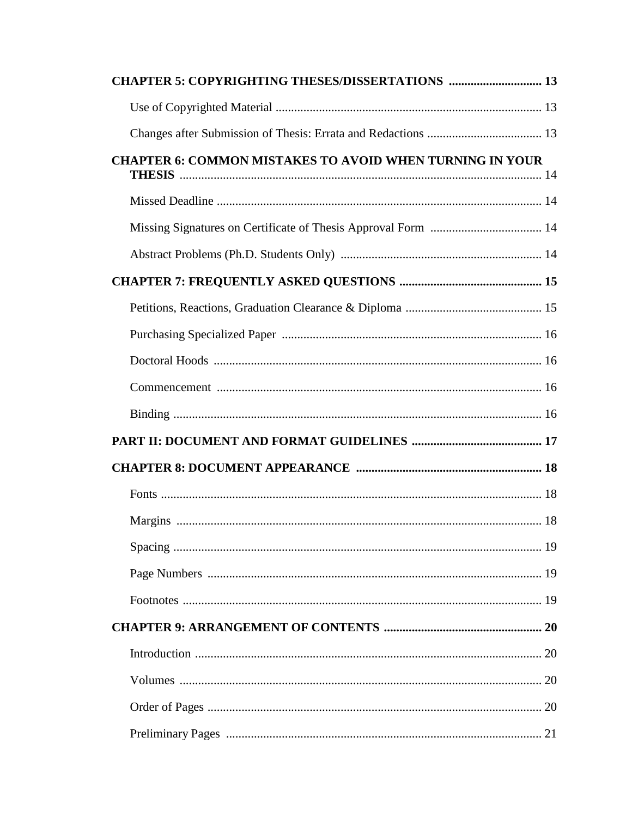| <b>CHAPTER 5: COPYRIGHTING THESES/DISSERTATIONS  13</b>         |  |
|-----------------------------------------------------------------|--|
|                                                                 |  |
|                                                                 |  |
| <b>CHAPTER 6: COMMON MISTAKES TO AVOID WHEN TURNING IN YOUR</b> |  |
|                                                                 |  |
|                                                                 |  |
|                                                                 |  |
|                                                                 |  |
|                                                                 |  |
|                                                                 |  |
|                                                                 |  |
|                                                                 |  |
|                                                                 |  |
|                                                                 |  |
|                                                                 |  |
|                                                                 |  |
|                                                                 |  |
|                                                                 |  |
|                                                                 |  |
|                                                                 |  |
|                                                                 |  |
|                                                                 |  |
|                                                                 |  |
|                                                                 |  |
|                                                                 |  |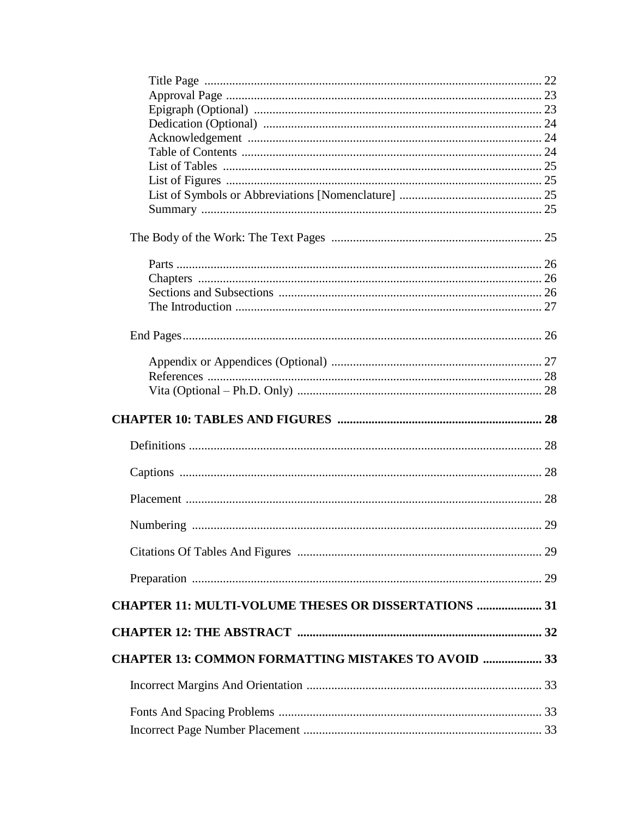| <b>CHAPTER 11: MULTI-VOLUME THESES OR DISSERTATIONS  31</b> |  |
|-------------------------------------------------------------|--|
|                                                             |  |
| <b>CHAPTER 13: COMMON FORMATTING MISTAKES TO AVOID  33</b>  |  |
|                                                             |  |
|                                                             |  |
|                                                             |  |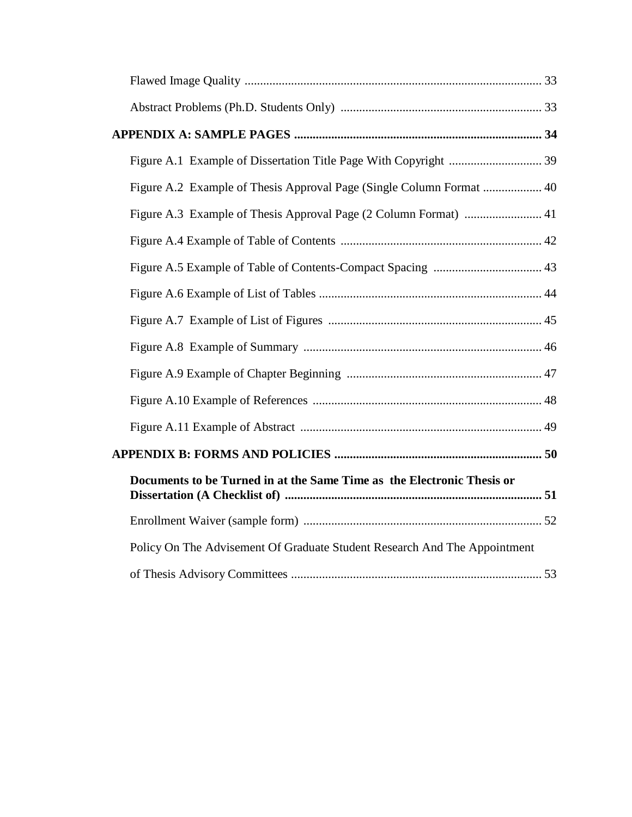| Figure A.2 Example of Thesis Approval Page (Single Column Format  40      |  |
|---------------------------------------------------------------------------|--|
|                                                                           |  |
|                                                                           |  |
|                                                                           |  |
|                                                                           |  |
|                                                                           |  |
|                                                                           |  |
|                                                                           |  |
|                                                                           |  |
|                                                                           |  |
|                                                                           |  |
| Documents to be Turned in at the Same Time as the Electronic Thesis or    |  |
|                                                                           |  |
| Policy On The Advisement Of Graduate Student Research And The Appointment |  |
|                                                                           |  |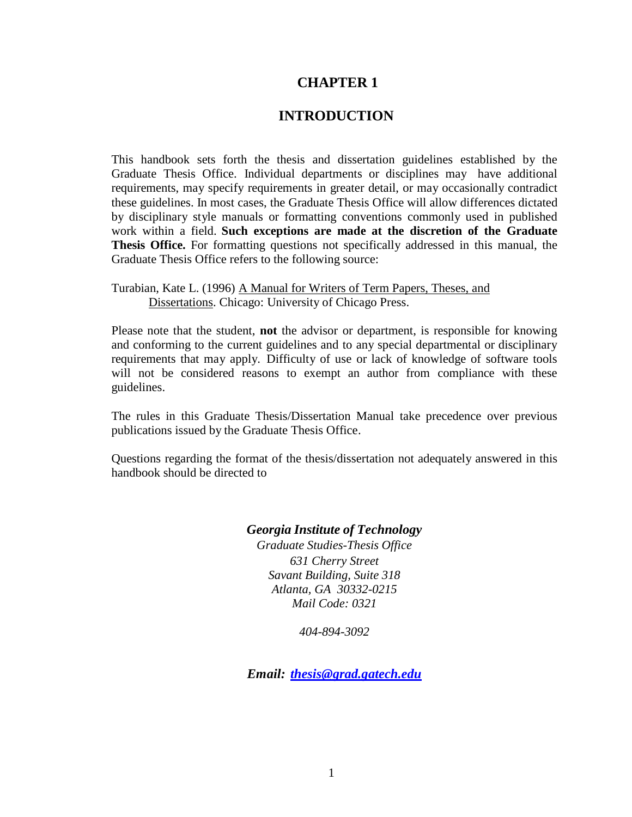## **INTRODUCTION**

This handbook sets forth the thesis and dissertation guidelines established by the Graduate Thesis Office. Individual departments or disciplines may have additional requirements, may specify requirements in greater detail, or may occasionally contradict these guidelines. In most cases, the Graduate Thesis Office will allow differences dictated by disciplinary style manuals or formatting conventions commonly used in published work within a field. **Such exceptions are made at the discretion of the Graduate Thesis Office.** For formatting questions not specifically addressed in this manual, the Graduate Thesis Office refers to the following source:

Turabian, Kate L. (1996) A Manual for Writers of Term Papers, Theses, and Dissertations. Chicago: University of Chicago Press.

Please note that the student, **not** the advisor or department, is responsible for knowing and conforming to the current guidelines and to any special departmental or disciplinary requirements that may apply. Difficulty of use or lack of knowledge of software tools will not be considered reasons to exempt an author from compliance with these guidelines.

The rules in this Graduate Thesis/Dissertation Manual take precedence over previous publications issued by the Graduate Thesis Office.

Questions regarding the format of the thesis/dissertation not adequately answered in this handbook should be directed to

## *Georgia Institute of Technology*

*Graduate Studies-Thesis Office 631 Cherry Street Savant Building, Suite 318 Atlanta, GA 30332-0215 Mail Code: 0321*

*404-894-3092*

*Email: [thesis@grad.gatech.edu](mailto:thesis@grad.gatech.edu)*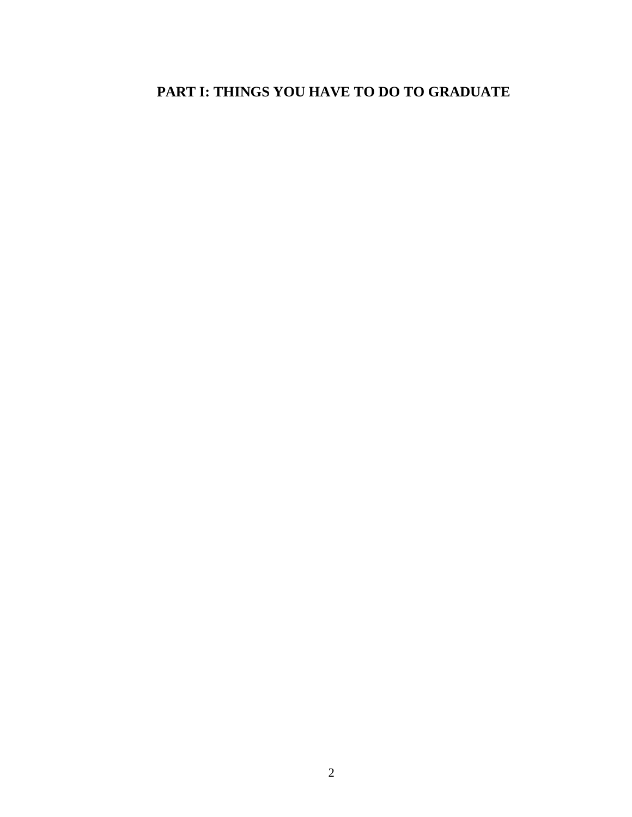# **PART I: THINGS YOU HAVE TO DO TO GRADUATE**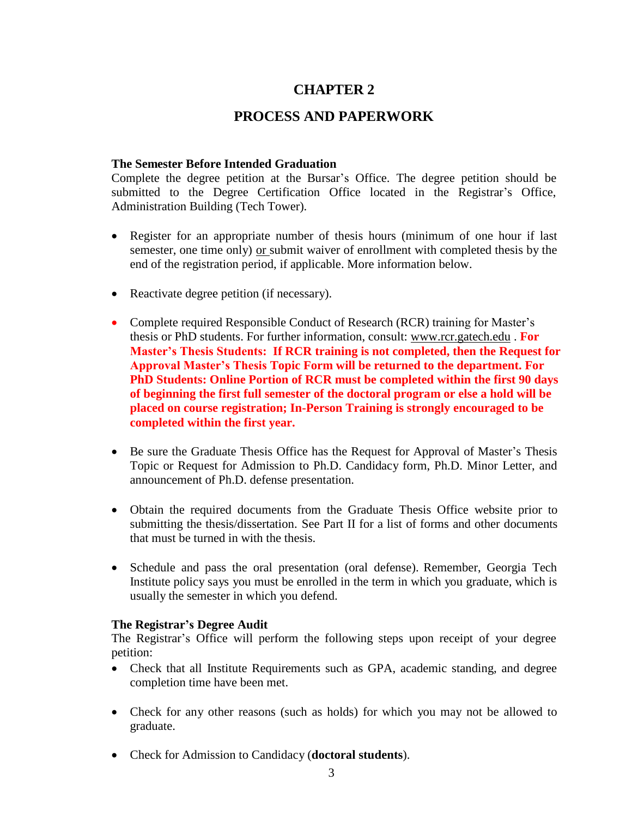## **PROCESS AND PAPERWORK**

## <span id="page-7-1"></span><span id="page-7-0"></span>**The Semester Before Intended Graduation**

Complete the degree petition at the Bursar's Office. The degree petition should be submitted to the Degree Certification Office located in the Registrar's Office, Administration Building (Tech Tower).

- Register for an appropriate number of thesis hours (minimum of one hour if last semester, one time only) or submit waiver of enrollment with completed thesis by the end of the registration period, if applicable. More information below.
- Reactivate degree petition (if necessary).
- Complete required Responsible Conduct of Research (RCR) training for Master's thesis or PhD students. For further information, consult: [www.rcr.gatech.edu](http://www.rcr.gatech.edu/) . **For Master's Thesis Students: If RCR training is not completed, then the Request for Approval Master's Thesis Topic Form will be returned to the department. For PhD Students: Online Portion of RCR must be completed within the first 90 days of beginning the first full semester of the doctoral program or else a hold will be placed on course registration; In-Person Training is strongly encouraged to be completed within the first year.**
- Be sure the Graduate Thesis Office has the Request for Approval of Master's Thesis Topic or Request for Admission to Ph.D. Candidacy form, Ph.D. Minor Letter, and announcement of Ph.D. defense presentation.
- Obtain the required documents from the Graduate Thesis Office website prior to submitting the thesis/dissertation. See Part II for a list of forms and other documents that must be turned in with the thesis.
- Schedule and pass the oral presentation (oral defense). Remember, Georgia Tech Institute policy says you must be enrolled in the term in which you graduate, which is usually the semester in which you defend.

## <span id="page-7-2"></span>**The Registrar's Degree Audit**

The Registrar's Office will perform the following steps upon receipt of your degree petition:

- Check that all Institute Requirements such as GPA, academic standing, and degree completion time have been met.
- Check for any other reasons (such as holds) for which you may not be allowed to graduate.
- Check for Admission to Candidacy (**doctoral students**).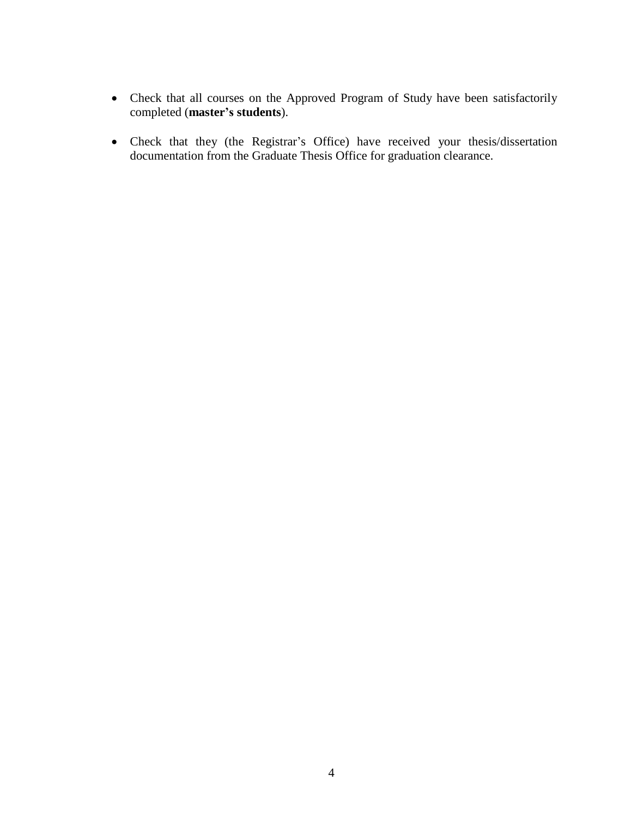- Check that all courses on the Approved Program of Study have been satisfactorily completed (**master's students**).
- Check that they (the Registrar's Office) have received your thesis/dissertation documentation from the Graduate Thesis Office for graduation clearance.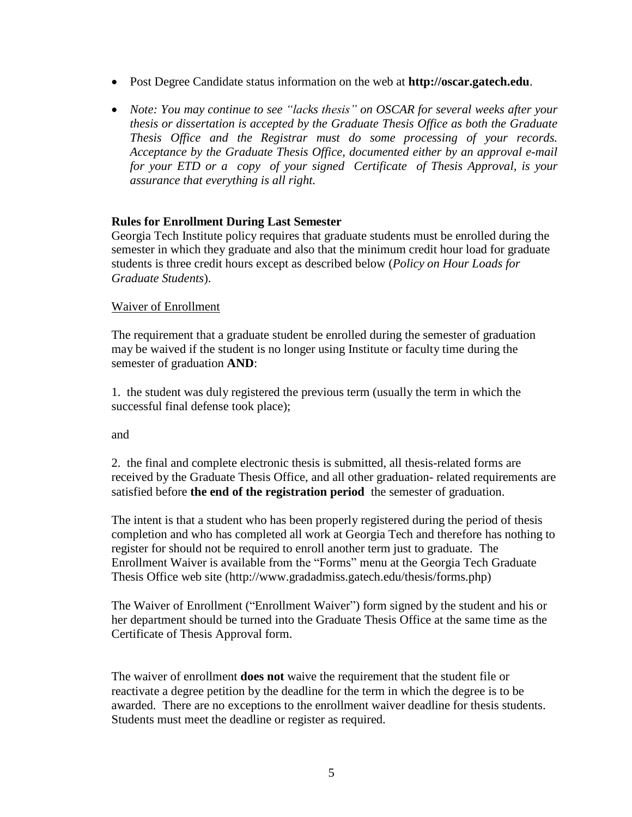- Post Degree Candidate status information on the web at **[http://oscar.gatech.edu](http://oscar.gatech.edu/)**.
- *Note: You may continue to see "lacks thesis" on OSCAR for several weeks after your thesis or dissertation is accepted by the Graduate Thesis Office as both the Graduate Thesis Office and the Registrar must do some processing of your records. Acceptance by the Graduate Thesis Office, documented either by an approval e-mail for your ETD or a copy of your signed Certificate of Thesis Approval, is your assurance that everything is all right.*

## **Rules for Enrollment During Last Semester**

Georgia Tech Institute policy requires that graduate students must be enrolled during the semester in which they graduate and also that the minimum credit hour load for graduate students is three credit hours except as described below (*Policy on Hour Loads for Graduate Students*).

#### Waiver of Enrollment

The requirement that a graduate student be enrolled during the semester of graduation may be waived if the student is no longer using Institute or faculty time during the semester of graduation **AND**:

1. the student was duly registered the previous term (usually the term in which the successful final defense took place);

and

2. the final and complete electronic thesis is submitted, all thesis-related forms are received by the Graduate Thesis Office, and all other graduation- related requirements are satisfied before **the end of the registration period** the semester of graduation.

The intent is that a student who has been properly registered during the period of thesis completion and who has completed all work at Georgia Tech and therefore has nothing to register for should not be required to enroll another term just to graduate. The Enrollment Waiver is available from the "Forms" menu at the Georgia Tech Graduate Thesis Office web site [\(http://www.gradadmiss.gatech.edu/thesis/forms.php\)](http://www.gradadmiss.gatech.edu/thesis/forms.php))

The Waiver of Enrollment ("Enrollment Waiver") form signed by the student and his or her department should be turned into the Graduate Thesis Office at the same time as the Certificate of Thesis Approval form.

The waiver of enrollment **does not** waive the requirement that the student file or reactivate a degree petition by the deadline for the term in which the degree is to be awarded. There are no exceptions to the enrollment waiver deadline for thesis students. Students must meet the deadline or register as required.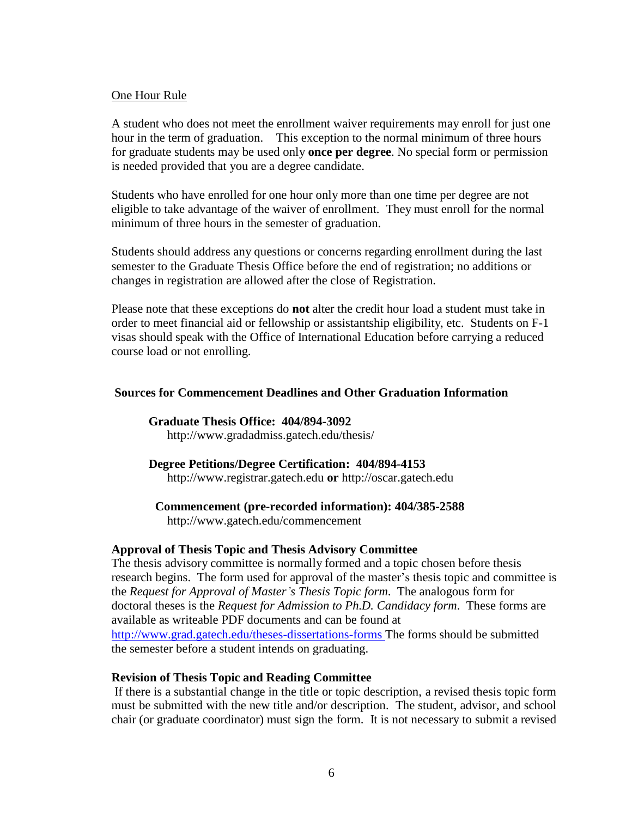#### One Hour Rule

A student who does not meet the enrollment waiver requirements may enroll for just one hour in the term of graduation. This exception to the normal minimum of three hours for graduate students may be used only **once per degree**. No special form or permission is needed provided that you are a degree candidate.

Students who have enrolled for one hour only more than one time per degree are not eligible to take advantage of the waiver of enrollment. They must enroll for the normal minimum of three hours in the semester of graduation.

Students should address any questions or concerns regarding enrollment during the last semester to the Graduate Thesis Office before the end of registration; no additions or changes in registration are allowed after the close of Registration.

Please note that these exceptions do **not** alter the credit hour load a student must take in order to meet financial aid or fellowship or assistantship eligibility, etc. Students on F-1 visas should speak with the Office of International Education before carrying a reduced course load or not enrolling.

## <span id="page-10-0"></span>**Sources for Commencement Deadlines and Other Graduation Information**

**Graduate Thesis Office: 404/894-3092** <http://www.gradadmiss.gatech.edu/thesis/>

**Degree Petitions/Degree Certification: 404/894-4153**

[http://www.registrar.gatech.edu](http://www.registrar.gatech.edu/) **or** [http://oscar.gatech.edu](http://oscar.gatech.edu/)

**Commencement (pre-recorded information): 404/385-2588**

<http://www.gatech.edu/commencement>

## <span id="page-10-1"></span>**Approval of Thesis Topic and Thesis Advisory Committee**

The thesis advisory committee is normally formed and a topic chosen before thesis research begins. The form used for approval of the master's thesis topic and committee is the *Request for Approval of Master's Thesis Topic form*. The analogous form for doctoral theses is the *Request for Admission to Ph.D. Candidacy form*. These forms are available as writeable PDF documents and can be found at <http://www.grad.gatech.edu/theses-dissertations-forms> The forms should be submitted the semester before a student intends on graduating.

## <span id="page-10-2"></span>**Revision of Thesis Topic and Reading Committee**

If there is a substantial change in the title or topic description, a revised thesis topic form must be submitted with the new title and/or description. The student, advisor, and school chair (or graduate coordinator) must sign the form. It is not necessary to submit a revised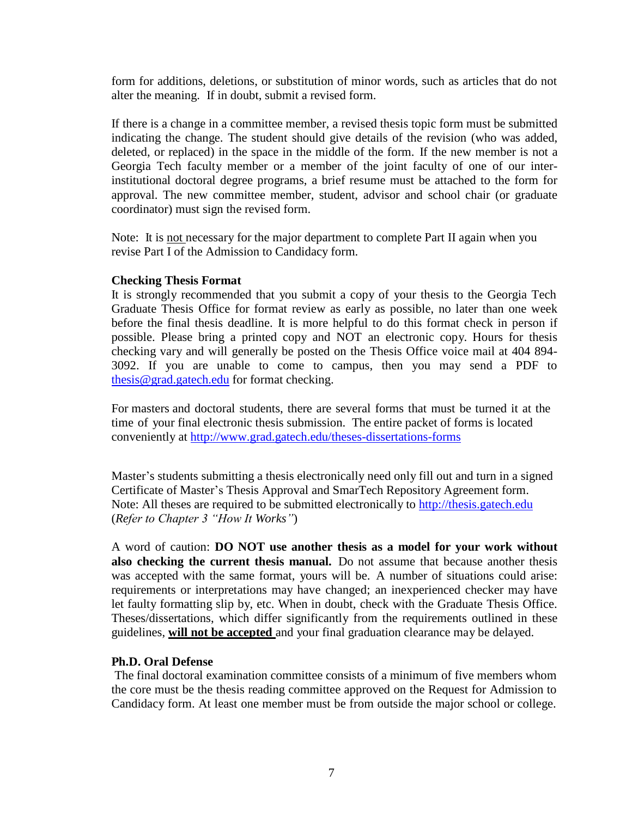form for additions, deletions, or substitution of minor words, such as articles that do not alter the meaning. If in doubt, submit a revised form.

If there is a change in a committee member, a revised thesis topic form must be submitted indicating the change. The student should give details of the revision (who was added, deleted, or replaced) in the space in the middle of the form. If the new member is not a Georgia Tech faculty member or a member of the joint faculty of one of our interinstitutional doctoral degree programs, a brief resume must be attached to the form for approval. The new committee member, student, advisor and school chair (or graduate coordinator) must sign the revised form.

Note: It is not necessary for the major department to complete Part II again when you revise Part I of the Admission to Candidacy form.

#### <span id="page-11-0"></span>**Checking Thesis Format**

It is strongly recommended that you submit a copy of your thesis to the Georgia Tech Graduate Thesis Office for format review as early as possible, no later than one week before the final thesis deadline. It is more helpful to do this format check in person if possible. Please bring a printed copy and NOT an electronic copy. Hours for thesis checking vary and will generally be posted on the Thesis Office voice mail at 404 894- 3092. If you are unable to come to campus, then you may send a PDF to [thesis@grad.gatech.edu](mailto:thesis@grad.gatech.edu) for format checking.

For masters and doctoral students, there are several forms that must be turned it at the time of your final electronic thesis submission. The entire packet of forms is located conveniently at<http://www.grad.gatech.edu/theses-dissertations-forms>

Master's students submitting a thesis electronically need only fill out and turn in a signed Certificate of Master's Thesis Approval and SmarTech Repository Agreement form. Note: All theses are required to be submitted electronically to [http://thesis.gatech.edu](http://thesis.gatech.edu/) (*Refer to Chapter 3 "How It Works"*)

A word of caution: **DO NOT use another thesis as a model for your work without also checking the current thesis manual.** Do not assume that because another thesis was accepted with the same format, yours will be. A number of situations could arise: requirements or interpretations may have changed; an inexperienced checker may have let faulty formatting slip by, etc. When in doubt, check with the Graduate Thesis Office. Theses/dissertations, which differ significantly from the requirements outlined in these guidelines, **will not be accepted** and your final graduation clearance may be delayed.

## <span id="page-11-1"></span>**Ph.D. Oral Defense**

The final doctoral examination committee consists of a minimum of five members whom the core must be the thesis reading committee approved on the Request for Admission to Candidacy form. At least one member must be from outside the major school or college.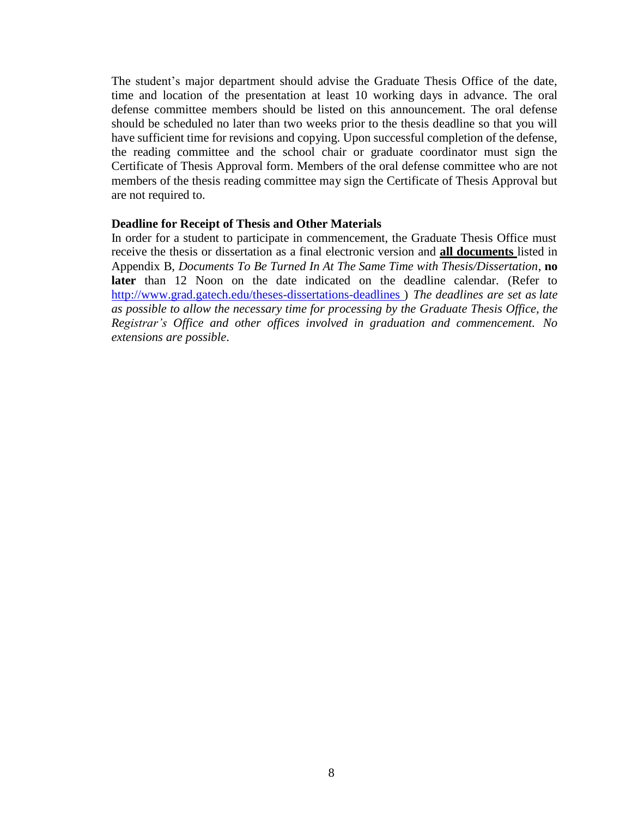The student's major department should advise the Graduate Thesis Office of the date, time and location of the presentation at least 10 working days in advance. The oral defense committee members should be listed on this announcement. The oral defense should be scheduled no later than two weeks prior to the thesis deadline so that you will have sufficient time for revisions and copying. Upon successful completion of the defense, the reading committee and the school chair or graduate coordinator must sign the Certificate of Thesis Approval form. Members of the oral defense committee who are not members of the thesis reading committee may sign the Certificate of Thesis Approval but are not required to.

#### <span id="page-12-0"></span>**Deadline for Receipt of Thesis and Other Materials**

In order for a student to participate in commencement, the Graduate Thesis Office must receive the thesis or dissertation as a final electronic version and **all documents** listed in Appendix B, *Documents To Be Turned In At The Same Time with Thesis/Dissertation*, **no later** than 12 Noon on the date indicated on the deadline calendar. (Refer to [http://www.grad.gatech.edu/theses-dissertations-deadlines](http://www.gradadmiss.gatech.edu/thesis/thesisdeadlines.php) ) *The deadlines are set as late as possible to allow the necessary time for processing by the Graduate Thesis Office, the Registrar's Office and other offices involved in graduation and commencement. No extensions are possible*.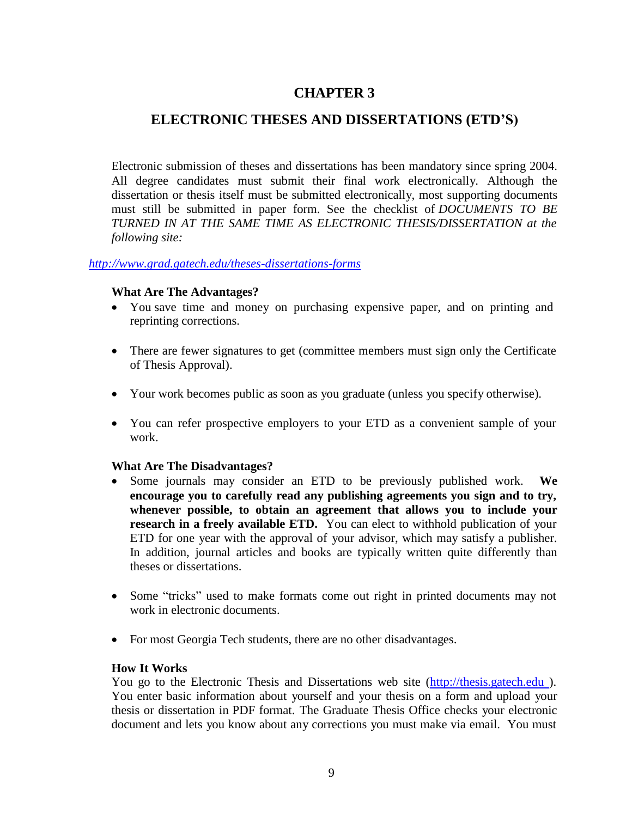## <span id="page-13-0"></span>**ELECTRONIC THESES AND DISSERTATIONS (ETD'S)**

Electronic submission of theses and dissertations has been mandatory since spring 2004. All degree candidates must submit their final work electronically. Although the dissertation or thesis itself must be submitted electronically, most supporting documents must still be submitted in paper form. See the checklist of *DOCUMENTS TO BE TURNED IN AT THE SAME TIME AS ELECTRONIC THESIS/DISSERTATION at the following site:*

## <span id="page-13-1"></span>*<http://www.grad.gatech.edu/theses-dissertations-forms>*

#### **What Are The Advantages?**

- You save time and money on purchasing expensive paper, and on printing and reprinting corrections.
- There are fewer signatures to get (committee members must sign only the Certificate of Thesis Approval).
- Your work becomes public as soon as you graduate (unless you specify otherwise).
- You can refer prospective employers to your ETD as a convenient sample of your work.

## <span id="page-13-2"></span>**What Are The Disadvantages?**

- Some journals may consider an ETD to be previously published work. **We encourage you to carefully read any publishing agreements you sign and to try, whenever possible, to obtain an agreement that allows you to include your research in a freely available ETD.** You can elect to withhold publication of your ETD for one year with the approval of your advisor, which may satisfy a publisher. In addition, journal articles and books are typically written quite differently than theses or dissertations.
- Some "tricks" used to make formats come out right in printed documents may not work in electronic documents.
- For most Georgia Tech students, there are no other disadvantages.

#### <span id="page-13-3"></span>**How It Works**

You go to the Electronic Thesis and Dissertations web site [\(http://thesis.gatech.edu](http://thesis.gatech.edu/) ). You enter basic information about yourself and your thesis on a form and upload your thesis or dissertation in PDF format. The Graduate Thesis Office checks your electronic document and lets you know about any corrections you must make via email. You must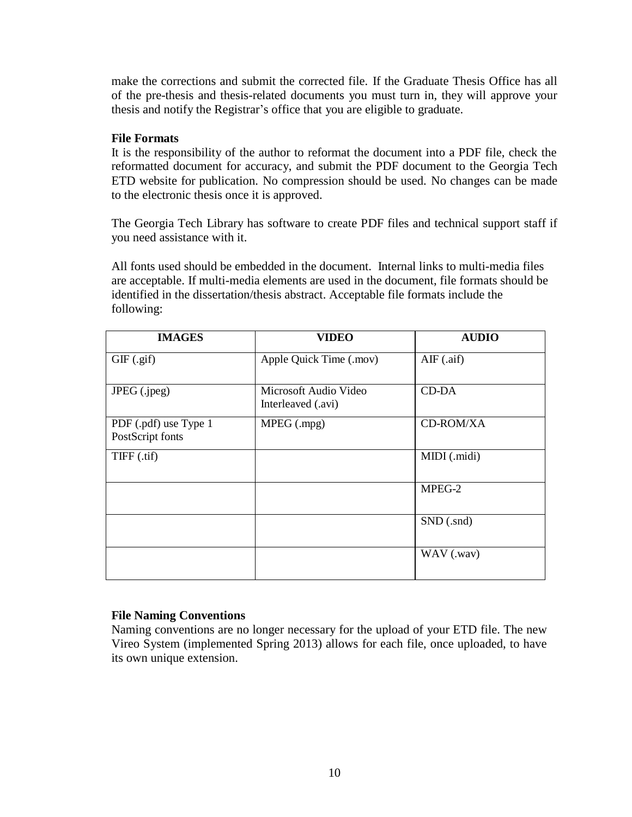make the corrections and submit the corrected file. If the Graduate Thesis Office has all of the pre-thesis and thesis-related documents you must turn in, they will approve your thesis and notify the Registrar's office that you are eligible to graduate.

## <span id="page-14-0"></span>**File Formats**

It is the responsibility of the author to reformat the document into a PDF file, check the reformatted document for accuracy, and submit the PDF document to the Georgia Tech ETD website for publication. No compression should be used. No changes can be made to the electronic thesis once it is approved.

The Georgia Tech Library has software to create PDF files and technical support staff if you need assistance with it.

All fonts used should be embedded in the document. Internal links to multi-media files are acceptable. If multi-media elements are used in the document, file formats should be identified in the dissertation/thesis abstract. Acceptable file formats include the following:

| <b>IMAGES</b>                             | <b>VIDEO</b>                                | <b>AUDIO</b>                   |
|-------------------------------------------|---------------------------------------------|--------------------------------|
| GIF(.gif)                                 | Apple Quick Time (.mov)                     | $\overline{\text{AIF}}$ (.aif) |
| JPEG (.jpeg)                              | Microsoft Audio Video<br>Interleaved (.avi) | <b>CD-DA</b>                   |
| PDF (.pdf) use Type 1<br>PostScript fonts | MPEG (.mpg)                                 | CD-ROM/XA                      |
| TIFF (.tif)                               |                                             | MIDI (.midi)                   |
|                                           |                                             | MPEG-2                         |
|                                           |                                             | SND (.snd)                     |
|                                           |                                             | WAV (.wav)                     |

## <span id="page-14-1"></span>**File Naming Conventions**

Naming conventions are no longer necessary for the upload of your ETD file. The new Vireo System (implemented Spring 2013) allows for each file, once uploaded, to have its own unique extension.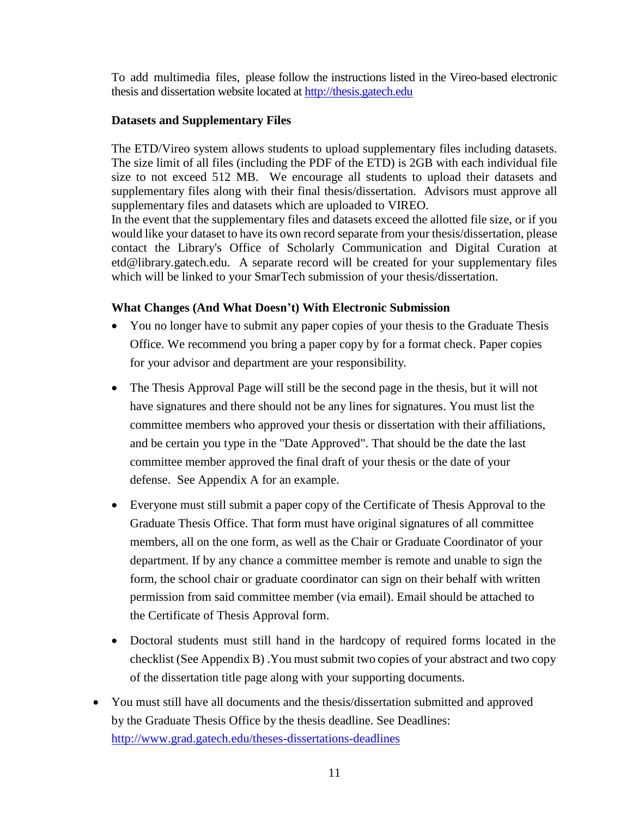To add multimedia files, please follow the instructions listed in the Vireo-based electronic thesis and dissertation website located at [http://thesis.gatech.edu](http://thesis.gatech.edu/)

## **Datasets and Supplementary Files**

The ETD/Vireo system allows students to upload supplementary files including datasets. The size limit of all files (including the PDF of the ETD) is 2GB with each individual file size to not exceed 512 MB. We encourage all students to upload their datasets and supplementary files along with their final thesis/dissertation. Advisors must approve all supplementary files and datasets which are uploaded to VIREO.

In the event that the supplementary files and datasets exceed the allotted file size, or if you would like your dataset to have its own record separate from your thesis/dissertation, please contact the Library's Office of Scholarly Communication and Digital Curation at etd@library.gatech.edu. A separate record will be created for your supplementary files which will be linked to your SmarTech submission of your thesis/dissertation.

## <span id="page-15-0"></span>**What Changes (And What Doesn't) With Electronic Submission**

- You no longer have to submit any paper copies of your thesis to the Graduate Thesis Office. We recommend you bring a paper copy by for a format check. Paper copies for your advisor and department are your responsibility.
- The Thesis Approval Page will still be the second page in the thesis, but it will not have signatures and there should not be any lines for signatures. You must list the committee members who approved your thesis or dissertation with their affiliations, and be certain you type in the "Date Approved". That should be the date the last committee member approved the final draft of your thesis or the date of your defense. See Appendix A for an example.
- Everyone must still submit a paper copy of the Certificate of Thesis Approval to the Graduate Thesis Office. That form must have original signatures of all committee members, all on the one form, as well as the Chair or Graduate Coordinator of your department. If by any chance a committee member is remote and unable to sign the form, the school chair or graduate coordinator can sign on their behalf with written permission from said committee member (via email). Email should be attached to the Certificate of Thesis Approval form.
- Doctoral students must still hand in the hardcopy of required forms located in the checklist (See Appendix B) .You must submit two copies of your abstract and two copy of the dissertation title page along with your supporting documents.
- You must still have all documents and the thesis/dissertation submitted and approved by the Graduate Thesis Office by the thesis deadline. See Deadlines: <http://www.grad.gatech.edu/theses-dissertations-deadlines>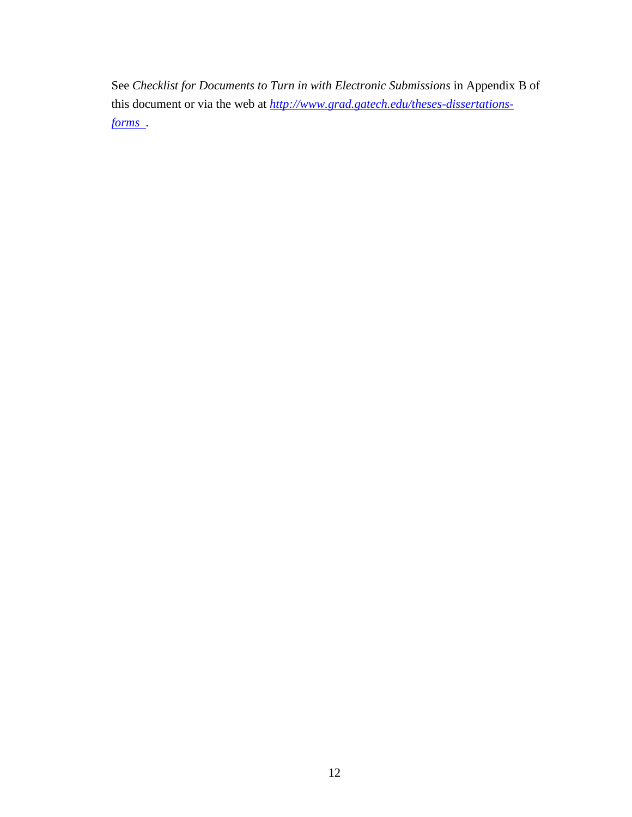See *Checklist for Documents to Turn in with Electronic Submissions* in Appendix B of this document or via the web at *[http://www.grad.gatech.edu/theses-dissertations](http://www.gradadmiss.gatech.edu/thesis/forms.php)[forms](http://www.gradadmiss.gatech.edu/thesis/forms.php) .*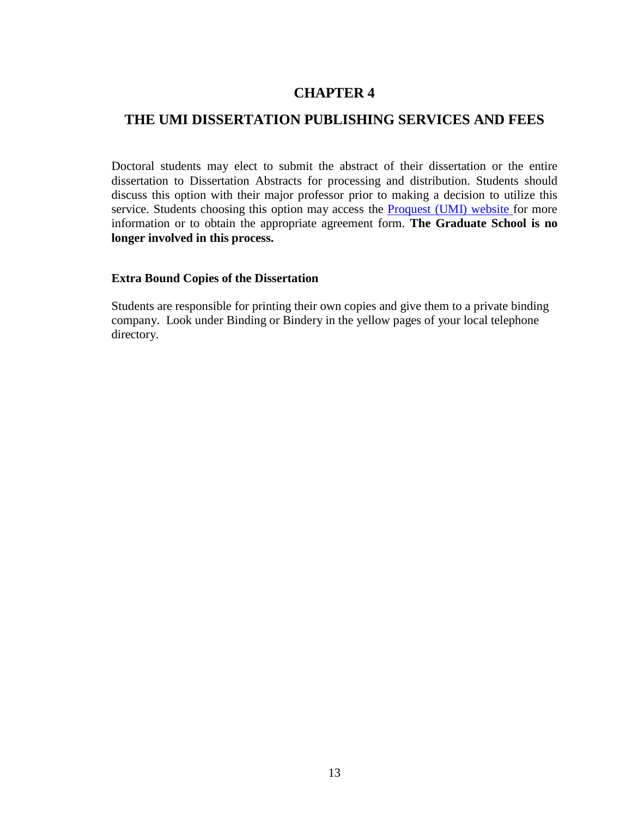## <span id="page-17-0"></span>**THE UMI DISSERTATION PUBLISHING SERVICES AND FEES**

Doctoral students may elect to submit the abstract of their dissertation or the entire dissertation to Dissertation Abstracts for processing and distribution. Students should discuss this option with their major professor prior to making a decision to utilize this service. Students choosing this option may access the **[Proquest](http://www.umi.com/en-US/products/dissertations/submitted_authors.shtml) (UMI)** website for more information or to obtain the appropriate agreement form. **The Graduate School is no longer involved in this process.**

## <span id="page-17-1"></span>**Extra Bound Copies of the Dissertation**

Students are responsible for printing their own copies and give them to a private binding company. Look under Binding or Bindery in the yellow pages of your local telephone directory.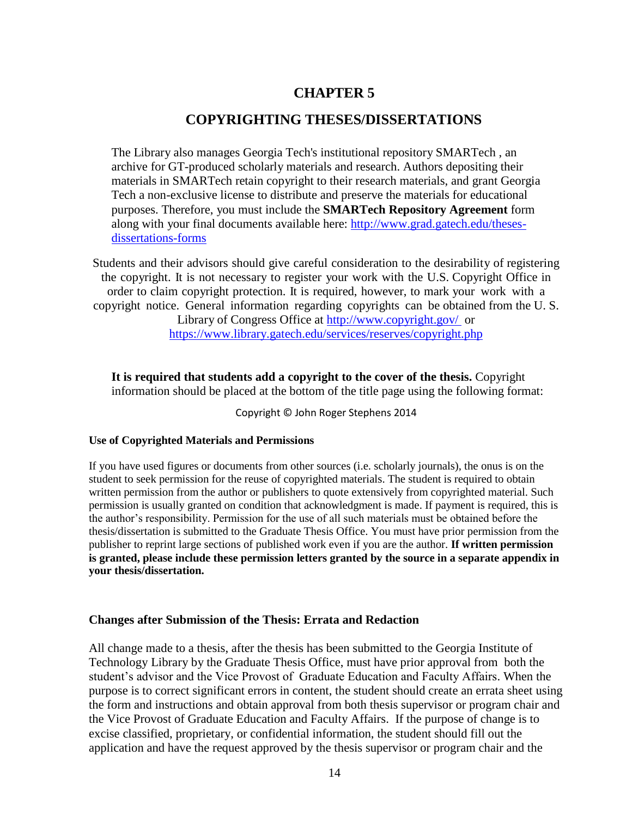## **COPYRIGHTING THESES/DISSERTATIONS**

<span id="page-18-0"></span>The Library also manages Georgia Tech's institutional repository SMARTech , an archive for GT-produced scholarly materials and research. Authors depositing their materials in SMARTech retain copyright to their research materials, and grant Georgia Tech a non-exclusive license to distribute and preserve the materials for educational purposes. Therefore, you must include the **SMARTech Repository Agreement** form along with your final documents available here: [http://www.grad.gatech.edu/theses](http://www.grad.gatech.edu/theses-dissertations-forms)[dissertations-forms](http://www.grad.gatech.edu/theses-dissertations-forms)

Students and their advisors should give careful consideration to the desirability of registering the copyright. It is not necessary to register your work with the U.S. Copyright Office in order to claim copyright protection. It is required, however, to mark your work with a copyright notice. General information regarding copyrights can be obtained from the U. S. Library of Congress Office at <http://www.copyright.gov/> or <https://www.library.gatech.edu/services/reserves/copyright.php>

**It is required that students add a copyright to the cover of the thesis.** Copyright information should be placed at the bottom of the title page using the following format:

<span id="page-18-1"></span>Copyright © John Roger Stephens 2014

#### **Use of Copyrighted Materials and Permissions**

If you have used figures or documents from other sources (i.e. scholarly journals), the onus is on the student to seek permission for the reuse of copyrighted materials. The student is required to obtain written permission from the author or publishers to quote extensively from copyrighted material. Such permission is usually granted on condition that acknowledgment is made. If payment is required, this is the author's responsibility. Permission for the use of all such materials must be obtained before the thesis/dissertation is submitted to the Graduate Thesis Office. You must have prior permission from the publisher to reprint large sections of published work even if you are the author. **If written permission is granted, please include these permission letters granted by the source in a separate appendix in your thesis/dissertation.**

#### **Changes after Submission of the Thesis: Errata and Redaction**

All change made to a thesis, after the thesis has been submitted to the Georgia Institute of Technology Library by the Graduate Thesis Office, must have prior approval from both the student's advisor and the Vice Provost of Graduate Education and Faculty Affairs. When the purpose is to correct significant errors in content, the student should create an errata sheet using the form and instructions and obtain approval from both thesis supervisor or program chair and the Vice Provost of Graduate Education and Faculty Affairs. If the purpose of change is to excise classified, proprietary, or confidential information, the student should fill out the application and have the request approved by the thesis supervisor or program chair and the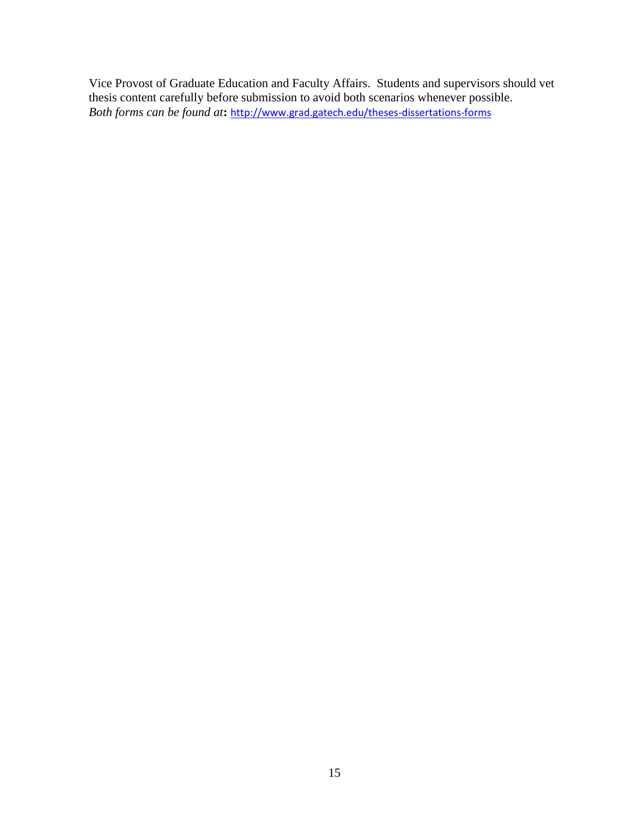Vice Provost of Graduate Education and Faculty Affairs. Students and supervisors should vet thesis content carefully before submission to avoid both scenarios whenever possible. *Both forms can be found at***:** <http://www.grad.gatech.edu/theses-dissertations-forms>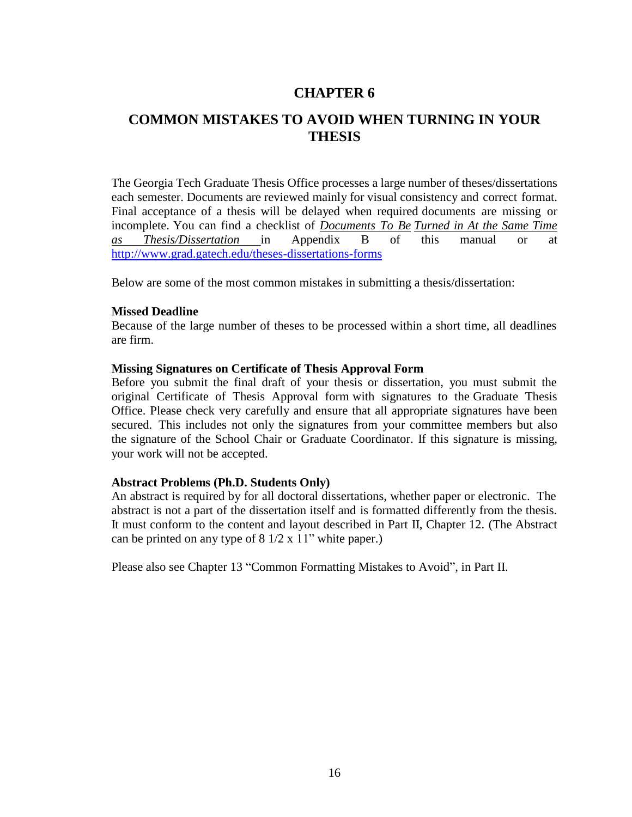## <span id="page-20-0"></span>**COMMON MISTAKES TO AVOID WHEN TURNING IN YOUR THESIS**

The Georgia Tech Graduate Thesis Office processes a large number of theses/dissertations each semester. Documents are reviewed mainly for visual consistency and correct format. Final acceptance of a thesis will be delayed when required documents are missing or incomplete. You can find a checklist of *Documents To Be Turned in At the Same Time as Thesis/Dissertation* in Appendix B of this manual or at <http://www.grad.gatech.edu/theses-dissertations-forms>

Below are some of the most common mistakes in submitting a thesis/dissertation:

#### <span id="page-20-1"></span>**Missed Deadline**

Because of the large number of theses to be processed within a short time, all deadlines are firm.

#### <span id="page-20-2"></span>**Missing Signatures on Certificate of Thesis Approval Form**

Before you submit the final draft of your thesis or dissertation, you must submit the original Certificate of Thesis Approval form with signatures to the Graduate Thesis Office. Please check very carefully and ensure that all appropriate signatures have been secured. This includes not only the signatures from your committee members but also the signature of the School Chair or Graduate Coordinator. If this signature is missing, your work will not be accepted.

#### <span id="page-20-3"></span>**Abstract Problems (Ph.D. Students Only)**

An abstract is required by for all doctoral dissertations, whether paper or electronic. The abstract is not a part of the dissertation itself and is formatted differently from the thesis. It must conform to the content and layout described in Part II, Chapter 12. (The Abstract can be printed on any type of 8 1/2 x 11" white paper.)

Please also see Chapter 13 "Common Formatting Mistakes to Avoid", in Part II.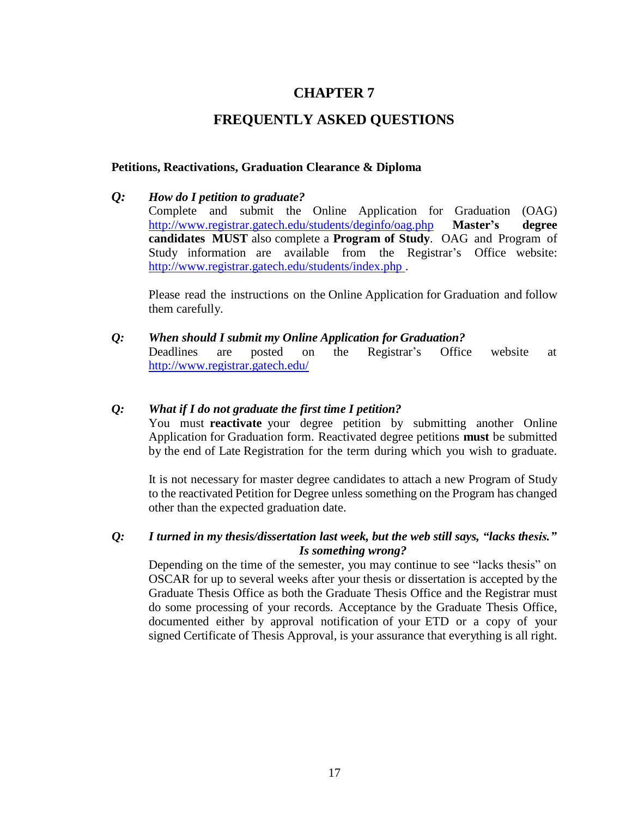## **FREQUENTLY ASKED QUESTIONS**

### <span id="page-21-1"></span><span id="page-21-0"></span>**Petitions, Reactivations, Graduation Clearance & Diploma**

#### *Q: How do I petition to graduate?*

Complete and submit the Online Application for Graduation (OAG) <http://www.registrar.gatech.edu/students/deginfo/oag.php> **Master's degree candidates MUST** also complete a **Program of Study**. OAG and Program of Study information are available from the Registrar's Office website: <http://www.registrar.gatech.edu/students/index.php> .

Please read the instructions on the Online Application for Graduation and follow them carefully.

*Q: When should I submit my Online Application for Graduation?* Deadlines are posted on the Registrar's Office website at <http://www.registrar.gatech.edu/>

### *Q: What if I do not graduate the first time I petition?*

You must **reactivate** your degree petition by submitting another Online Application for Graduation form. Reactivated degree petitions **must** be submitted by the end of Late Registration for the term during which you wish to graduate.

It is not necessary for master degree candidates to attach a new Program of Study to the reactivated Petition for Degree unless something on the Program has changed other than the expected graduation date.

## *Q: I turned in my thesis/dissertation last week, but the web still says, "lacks thesis." Is something wrong?*

Depending on the time of the semester, you may continue to see "lacks thesis" on OSCAR for up to several weeks after your thesis or dissertation is accepted by the Graduate Thesis Office as both the Graduate Thesis Office and the Registrar must do some processing of your records. Acceptance by the Graduate Thesis Office, documented either by approval notification of your ETD or a copy of your signed Certificate of Thesis Approval, is your assurance that everything is all right.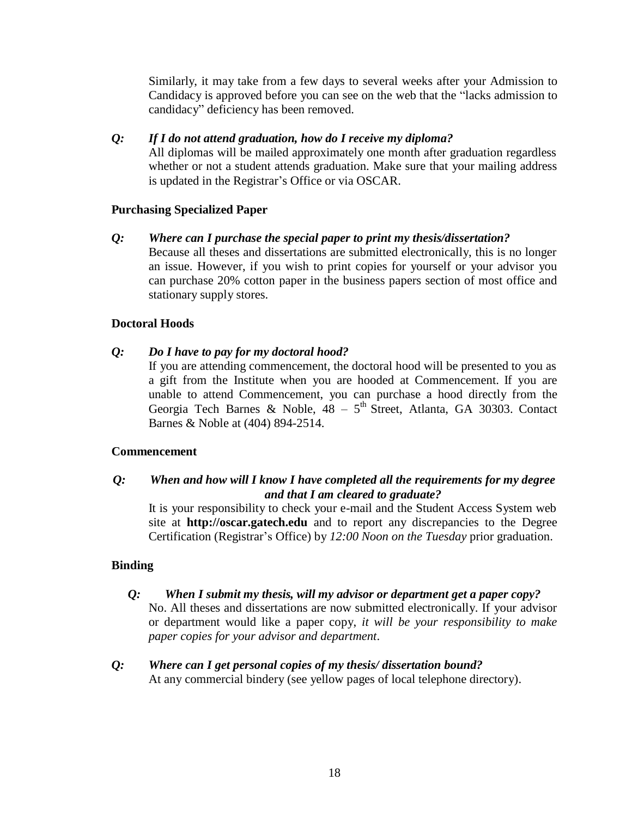Similarly, it may take from a few days to several weeks after your Admission to Candidacy is approved before you can see on the web that the "lacks admission to candidacy" deficiency has been removed.

## *Q: If I do not attend graduation, how do I receive my diploma?*

All diplomas will be mailed approximately one month after graduation regardless whether or not a student attends graduation. Make sure that your mailing address is updated in the Registrar's Office or via OSCAR.

## <span id="page-22-0"></span>**Purchasing Specialized Paper**

## *Q: Where can I purchase the special paper to print my thesis/dissertation?*

Because all theses and dissertations are submitted electronically, this is no longer an issue. However, if you wish to print copies for yourself or your advisor you can purchase 20% cotton paper in the business papers section of most office and stationary supply stores.

## <span id="page-22-1"></span>**Doctoral Hoods**

## *Q: Do I have to pay for my doctoral hood?*

If you are attending commencement, the doctoral hood will be presented to you as a gift from the Institute when you are hooded at Commencement. If you are unable to attend Commencement, you can purchase a hood directly from the Georgia Tech Barnes & Noble,  $48 - 5^{th}$  Street, Atlanta, GA 30303. Contact Barnes & Noble at (404) 894-2514.

## <span id="page-22-2"></span>**Commencement**

## *Q: When and how will I know I have completed all the requirements for my degree and that I am cleared to graduate?*

It is your responsibility to check your e-mail and the Student Access System web site at **[http://oscar.gatech.edu](http://oscar.gatech.edu/)** and to report any discrepancies to the Degree Certification (Registrar's Office) by *12:00 Noon on the Tuesday* prior graduation.

## <span id="page-22-3"></span>**Binding**

## *Q: When I submit my thesis, will my advisor or department get a paper copy?*

No. All theses and dissertations are now submitted electronically. If your advisor or department would like a paper copy, *it will be your responsibility to make paper copies for your advisor and department*.

### *Q: Where can I get personal copies of my thesis/ dissertation bound?* At any commercial bindery (see yellow pages of local telephone directory).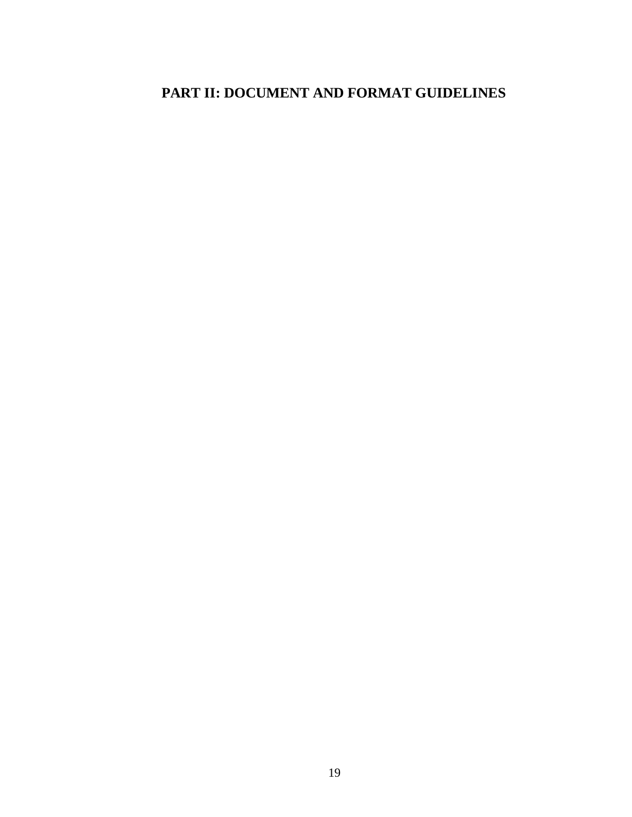# <span id="page-23-0"></span>**PART II: DOCUMENT AND FORMAT GUIDELINES**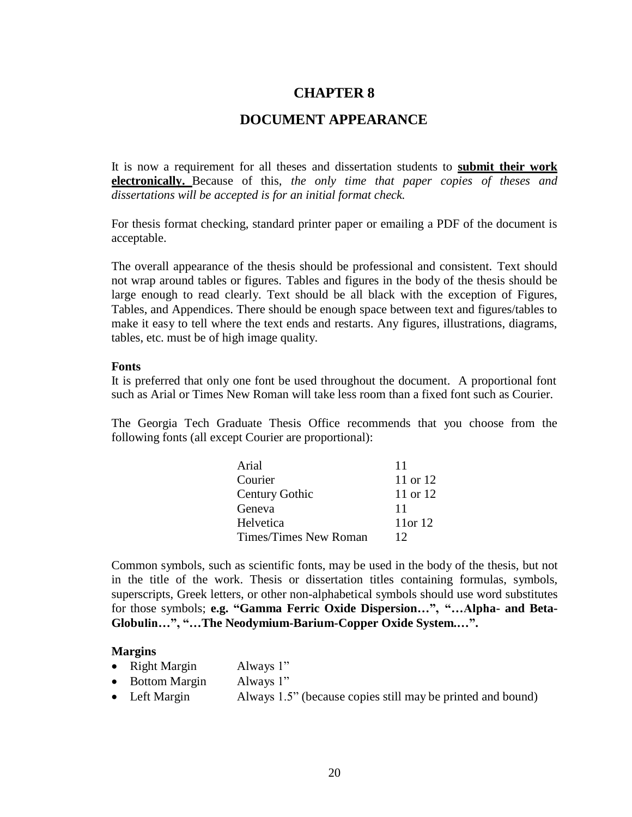## **DOCUMENT APPEARANCE**

<span id="page-24-0"></span>It is now a requirement for all theses and dissertation students to **submit their work electronically.** Because of this, *the only time that paper copies of theses and dissertations will be accepted is for an initial format check.*

For thesis format checking, standard printer paper or emailing a PDF of the document is acceptable.

The overall appearance of the thesis should be professional and consistent. Text should not wrap around tables or figures. Tables and figures in the body of the thesis should be large enough to read clearly. Text should be all black with the exception of Figures, Tables, and Appendices. There should be enough space between text and figures/tables to make it easy to tell where the text ends and restarts. Any figures, illustrations, diagrams, tables, etc. must be of high image quality.

#### <span id="page-24-1"></span>**Fonts**

It is preferred that only one font be used throughout the document. A proportional font such as Arial or Times New Roman will take less room than a fixed font such as Courier.

The Georgia Tech Graduate Thesis Office recommends that you choose from the following fonts (all except Courier are proportional):

| Arial                 | 11           |
|-----------------------|--------------|
| Courier               | 11 or 12     |
| <b>Century Gothic</b> | 11 or 12     |
| Geneva                | 11           |
| Helvetica             | $11$ or $12$ |
| Times/Times New Roman | 12           |

Common symbols, such as scientific fonts, may be used in the body of the thesis, but not in the title of the work. Thesis or dissertation titles containing formulas, symbols, superscripts, Greek letters, or other non-alphabetical symbols should use word substitutes for those symbols; **e.g. "Gamma Ferric Oxide Dispersion…", "…Alpha- and Beta-Globulin…", "…The Neodymium-Barium-Copper Oxide System.…".**

#### <span id="page-24-2"></span>**Margins**

- Right Margin Always 1"
- Bottom Margin Always 1"
- Left Margin Always 1.5" (because copies still may be printed and bound)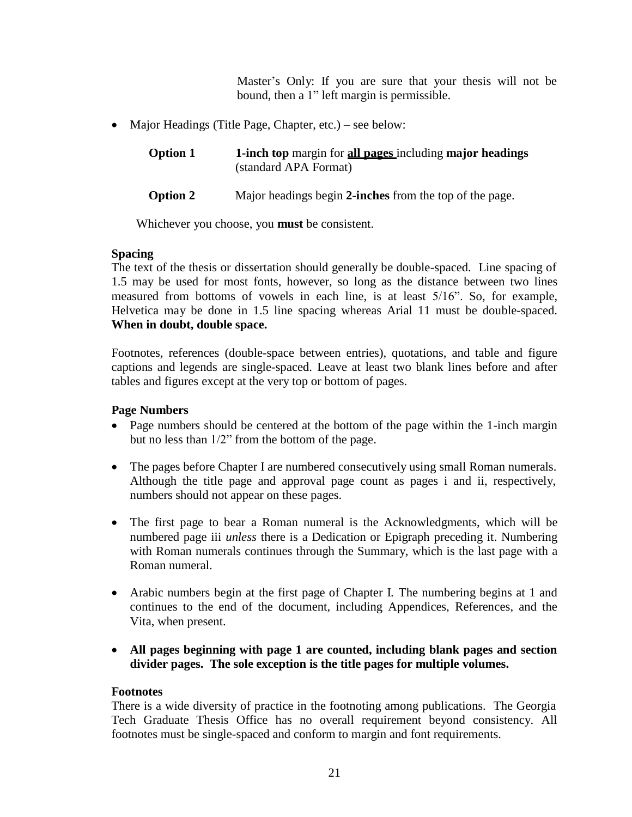Master's Only: If you are sure that your thesis will not be bound, then a 1" left margin is permissible.

• Major Headings (Title Page, Chapter, etc.) – see below:

| <b>Option 1</b> | 1-inch top margin for all pages including major headings |
|-----------------|----------------------------------------------------------|
|                 | (standard APA Format)                                    |

**Option 2** Major headings begin **2-inches** from the top of the page.

Whichever you choose, you **must** be consistent.

## <span id="page-25-0"></span>**Spacing**

The text of the thesis or dissertation should generally be double-spaced. Line spacing of 1.5 may be used for most fonts, however, so long as the distance between two lines measured from bottoms of vowels in each line, is at least 5/16". So, for example, Helvetica may be done in 1.5 line spacing whereas Arial 11 must be double-spaced. **When in doubt, double space.**

Footnotes, references (double-space between entries), quotations, and table and figure captions and legends are single-spaced. Leave at least two blank lines before and after tables and figures except at the very top or bottom of pages.

## <span id="page-25-1"></span>**Page Numbers**

- Page numbers should be centered at the bottom of the page within the 1-inch margin but no less than 1/2" from the bottom of the page.
- The pages before Chapter I are numbered consecutively using small Roman numerals. Although the title page and approval page count as pages i and ii, respectively, numbers should not appear on these pages.
- The first page to bear a Roman numeral is the Acknowledgments, which will be numbered page iii *unless* there is a Dedication or Epigraph preceding it. Numbering with Roman numerals continues through the Summary, which is the last page with a Roman numeral.
- Arabic numbers begin at the first page of Chapter I. The numbering begins at 1 and continues to the end of the document, including Appendices, References, and the Vita, when present.
- **All pages beginning with page 1 are counted, including blank pages and section divider pages. The sole exception is the title pages for multiple volumes.**

## <span id="page-25-2"></span>**Footnotes**

There is a wide diversity of practice in the footnoting among publications. The Georgia Tech Graduate Thesis Office has no overall requirement beyond consistency. All footnotes must be single-spaced and conform to margin and font requirements.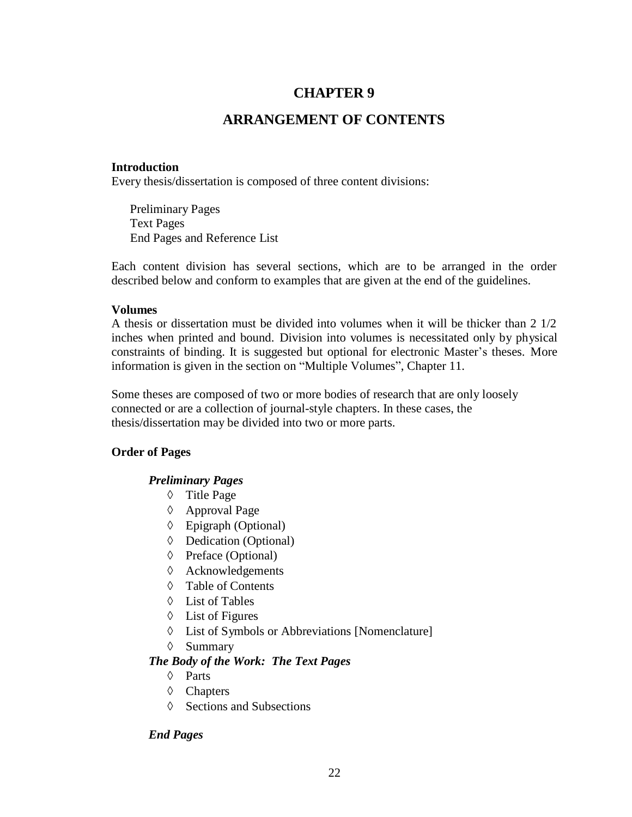## **ARRANGEMENT OF CONTENTS**

### <span id="page-26-1"></span><span id="page-26-0"></span>**Introduction**

Every thesis/dissertation is composed of three content divisions:

Preliminary Pages Text Pages End Pages and Reference List

Each content division has several sections, which are to be arranged in the order described below and conform to examples that are given at the end of the guidelines.

#### <span id="page-26-2"></span>**Volumes**

A thesis or dissertation must be divided into volumes when it will be thicker than 2 1/2 inches when printed and bound. Division into volumes is necessitated only by physical constraints of binding. It is suggested but optional for electronic Master's theses. More information is given in the section on "Multiple Volumes", Chapter 11.

Some theses are composed of two or more bodies of research that are only loosely connected or are a collection of journal-style chapters. In these cases, the thesis/dissertation may be divided into two or more parts.

## **Order of Pages**

## *Preliminary Pages*

- Title Page
- Approval Page
- Epigraph (Optional)
- Dedication (Optional)
- $\Diamond$  Preface (Optional)
- $\Diamond$  Acknowledgements
- $\Diamond$  Table of Contents
- $\Diamond$  List of Tables
- List of Figures
- List of Symbols or Abbreviations [Nomenclature]
- $\Diamond$  Summary

## *The Body of the Work: The Text Pages*

- $\Diamond$  Parts
- Chapters
- $\Diamond$  Sections and Subsections

## *End Pages*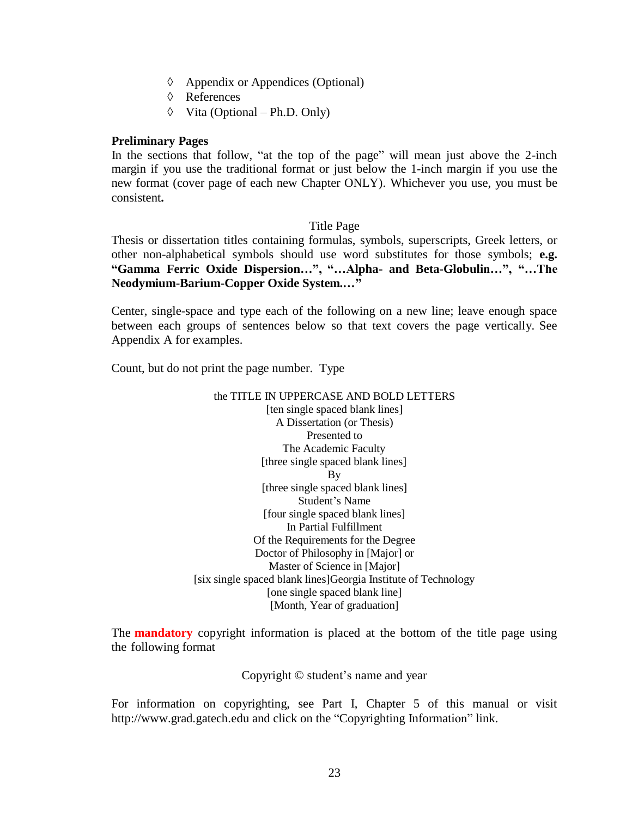- Appendix or Appendices (Optional)
- References
- $\Diamond$  Vita (Optional Ph.D. Only)

#### <span id="page-27-0"></span>**Preliminary Pages**

In the sections that follow, "at the top of the page" will mean just above the 2-inch margin if you use the traditional format or just below the 1-inch margin if you use the new format (cover page of each new Chapter ONLY). Whichever you use, you must be consistent**.**

#### Title Page

Thesis or dissertation titles containing formulas, symbols, superscripts, Greek letters, or other non-alphabetical symbols should use word substitutes for those symbols; **e.g. "Gamma Ferric Oxide Dispersion…", "…Alpha- and Beta-Globulin…", "…The Neodymium-Barium-Copper Oxide System.…"**

Center, single-space and type each of the following on a new line; leave enough space between each groups of sentences below so that text covers the page vertically. See Appendix A for examples.

Count, but do not print the page number. Type

#### the TITLE IN UPPERCASE AND BOLD LETTERS [ten single spaced blank lines] A Dissertation (or Thesis) Presented to The Academic Faculty [three single spaced blank lines] By [three single spaced blank lines] Student's Name [four single spaced blank lines] In Partial Fulfillment Of the Requirements for the Degree Doctor of Philosophy in [Major] or Master of Science in [Major] [six single spaced blank lines]Georgia Institute of Technology [one single spaced blank line] [Month, Year of graduation]

The **mandatory** copyright information is placed at the bottom of the title page using the following format

Copyright © student's name and year

For information on copyrighting, see Part I, Chapter 5 of this manual or visi[t](http://www.grad.gatech.edu/) [http://www.grad.gatech.edu](http://www.grad.gatech.edu/) and click on the "Copyrighting Information" link.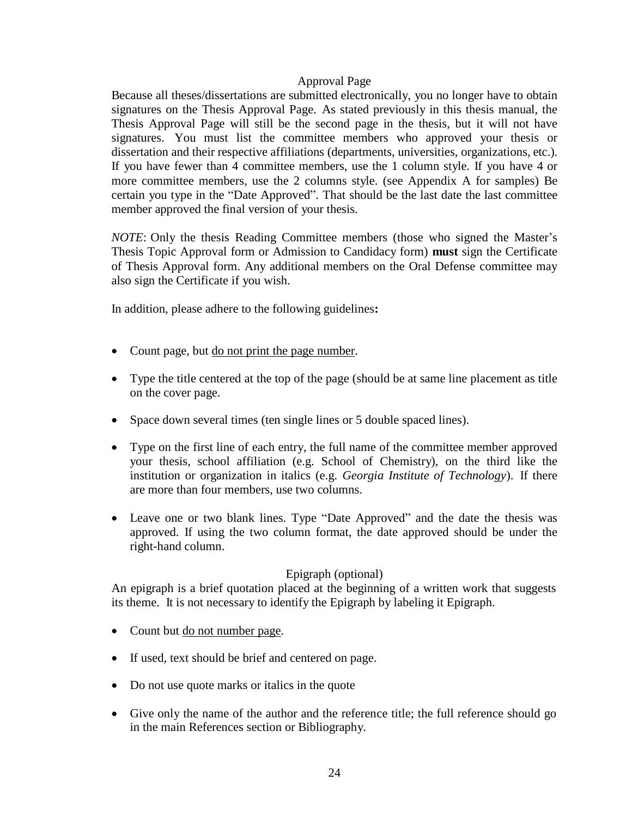#### Approval Page

Because all theses/dissertations are submitted electronically, you no longer have to obtain signatures on the Thesis Approval Page. As stated previously in this thesis manual, the Thesis Approval Page will still be the second page in the thesis, but it will not have signatures. You must list the committee members who approved your thesis or dissertation and their respective affiliations (departments, universities, organizations, etc.). If you have fewer than 4 committee members, use the 1 column style. If you have 4 or more committee members, use the 2 columns style. (see Appendix A for samples) Be certain you type in the "Date Approved". That should be the last date the last committee member approved the final version of your thesis.

*NOTE*: Only the thesis Reading Committee members (those who signed the Master's Thesis Topic Approval form or Admission to Candidacy form) **must** sign the Certificate of Thesis Approval form. Any additional members on the Oral Defense committee may also sign the Certificate if you wish.

In addition, please adhere to the following guidelines**:**

- Count page, but do not print the page number.
- Type the title centered at the top of the page (should be at same line placement as title on the cover page.
- Space down several times (ten single lines or 5 double spaced lines).
- Type on the first line of each entry, the full name of the committee member approved your thesis, school affiliation (e.g. School of Chemistry), on the third like the institution or organization in italics (e.g. *Georgia Institute of Technology*). If there are more than four members, use two columns.
- Leave one or two blank lines. Type "Date Approved" and the date the thesis was approved. If using the two column format, the date approved should be under the right-hand column.

## Epigraph (optional)

An epigraph is a brief quotation placed at the beginning of a written work that suggests its theme. It is not necessary to identify the Epigraph by labeling it Epigraph.

- Count but do not number page.
- If used, text should be brief and centered on page.
- Do not use quote marks or italics in the quote
- Give only the name of the author and the reference title; the full reference should go in the main References section or Bibliography.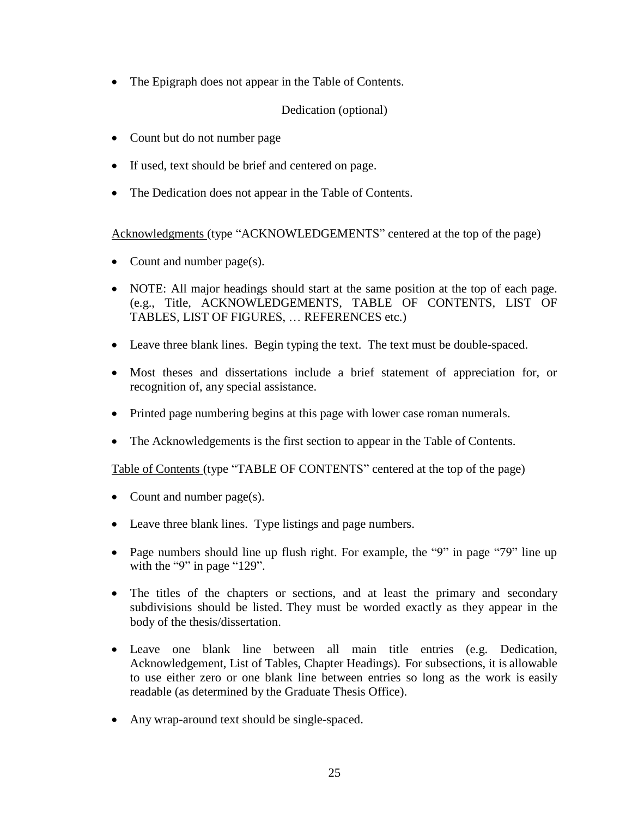• The Epigraph does not appear in the Table of Contents.

Dedication (optional)

- Count but do not number page
- If used, text should be brief and centered on page.
- The Dedication does not appear in the Table of Contents.

Acknowledgments (type "ACKNOWLEDGEMENTS" centered at the top of the page)

- Count and number page(s).
- NOTE: All major headings should start at the same position at the top of each page. (e.g., Title, ACKNOWLEDGEMENTS, TABLE OF CONTENTS, LIST OF TABLES, LIST OF FIGURES, … REFERENCES etc.)
- Leave three blank lines. Begin typing the text. The text must be double-spaced.
- Most theses and dissertations include a brief statement of appreciation for, or recognition of, any special assistance.
- Printed page numbering begins at this page with lower case roman numerals.
- The Acknowledgements is the first section to appear in the Table of Contents.

Table of Contents (type "TABLE OF CONTENTS" centered at the top of the page)

- Count and number page(s).
- Leave three blank lines. Type listings and page numbers.
- Page numbers should line up flush right. For example, the "9" in page "79" line up with the "9" in page "129".
- The titles of the chapters or sections, and at least the primary and secondary subdivisions should be listed. They must be worded exactly as they appear in the body of the thesis/dissertation.
- Leave one blank line between all main title entries (e.g. Dedication, Acknowledgement, List of Tables, Chapter Headings). For subsections, it is allowable to use either zero or one blank line between entries so long as the work is easily readable (as determined by the Graduate Thesis Office).
- Any wrap-around text should be single-spaced.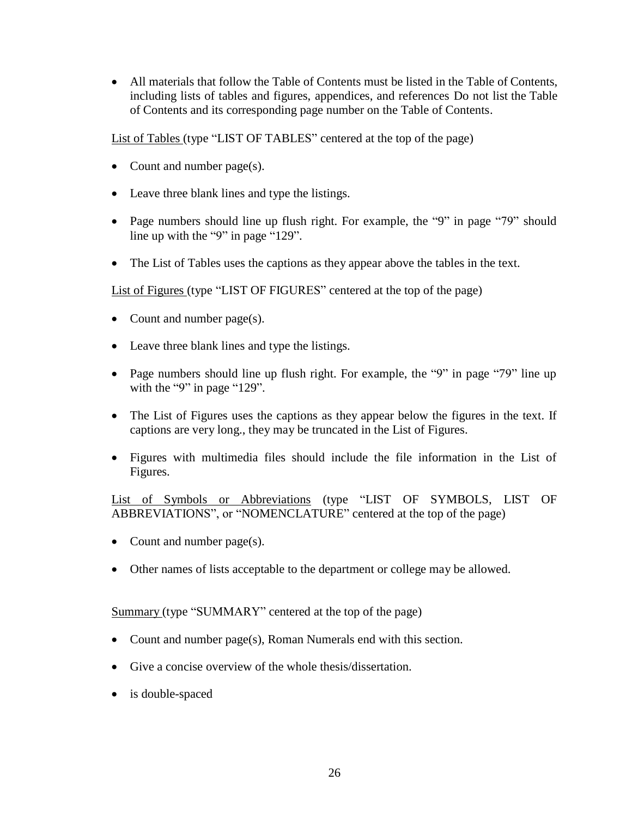All materials that follow the Table of Contents must be listed in the Table of Contents, including lists of tables and figures, appendices, and references Do not list the Table of Contents and its corresponding page number on the Table of Contents.

List of Tables (type "LIST OF TABLES" centered at the top of the page)

- Count and number page(s).
- Leave three blank lines and type the listings.
- Page numbers should line up flush right. For example, the "9" in page "79" should line up with the "9" in page "129".
- The List of Tables uses the captions as they appear above the tables in the text.

List of Figures (type "LIST OF FIGURES" centered at the top of the page)

- Count and number page(s).
- Leave three blank lines and type the listings.
- Page numbers should line up flush right. For example, the "9" in page "79" line up with the "9" in page "129".
- The List of Figures uses the captions as they appear below the figures in the text. If captions are very long., they may be truncated in the List of Figures.
- Figures with multimedia files should include the file information in the List of Figures.

List of Symbols or Abbreviations (type "LIST OF SYMBOLS, LIST OF ABBREVIATIONS", or "NOMENCLATURE" centered at the top of the page)

- Count and number page(s).
- Other names of lists acceptable to the department or college may be allowed.

Summary (type "SUMMARY" centered at the top of the page)

- Count and number page(s), Roman Numerals end with this section.
- Give a concise overview of the whole thesis/dissertation.
- is double-spaced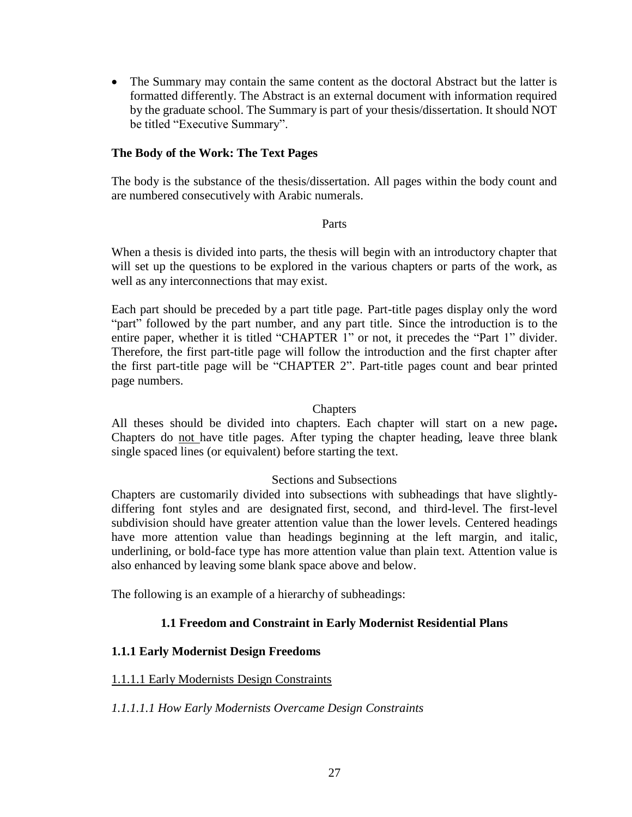• The Summary may contain the same content as the doctoral Abstract but the latter is formatted differently. The Abstract is an external document with information required by the graduate school. The Summary is part of your thesis/dissertation. It should NOT be titled "Executive Summary".

## <span id="page-31-0"></span>**The Body of the Work: The Text Pages**

The body is the substance of the thesis/dissertation. All pages within the body count and are numbered consecutively with Arabic numerals.

#### Parts

When a thesis is divided into parts, the thesis will begin with an introductory chapter that will set up the questions to be explored in the various chapters or parts of the work, as well as any interconnections that may exist.

Each part should be preceded by a part title page. Part-title pages display only the word "part" followed by the part number, and any part title. Since the introduction is to the entire paper, whether it is titled "CHAPTER 1" or not, it precedes the "Part 1" divider. Therefore, the first part-title page will follow the introduction and the first chapter after the first part-title page will be "CHAPTER 2". Part-title pages count and bear printed page numbers.

#### **Chapters**

All theses should be divided into chapters. Each chapter will start on a new page**.**  Chapters do not have title pages. After typing the chapter heading, leave three blank single spaced lines (or equivalent) before starting the text.

## Sections and Subsections

Chapters are customarily divided into subsections with subheadings that have slightlydiffering font styles and are designated first, second, and third-level. The first-level subdivision should have greater attention value than the lower levels. Centered headings have more attention value than headings beginning at the left margin, and italic, underlining, or bold-face type has more attention value than plain text. Attention value is also enhanced by leaving some blank space above and below.

The following is an example of a hierarchy of subheadings:

## **1.1 Freedom and Constraint in Early Modernist Residential Plans**

## **1.1.1 Early Modernist Design Freedoms**

## 1.1.1.1 Early Modernists Design Constraints

*1.1.1.1.1 How Early Modernists Overcame Design Constraints*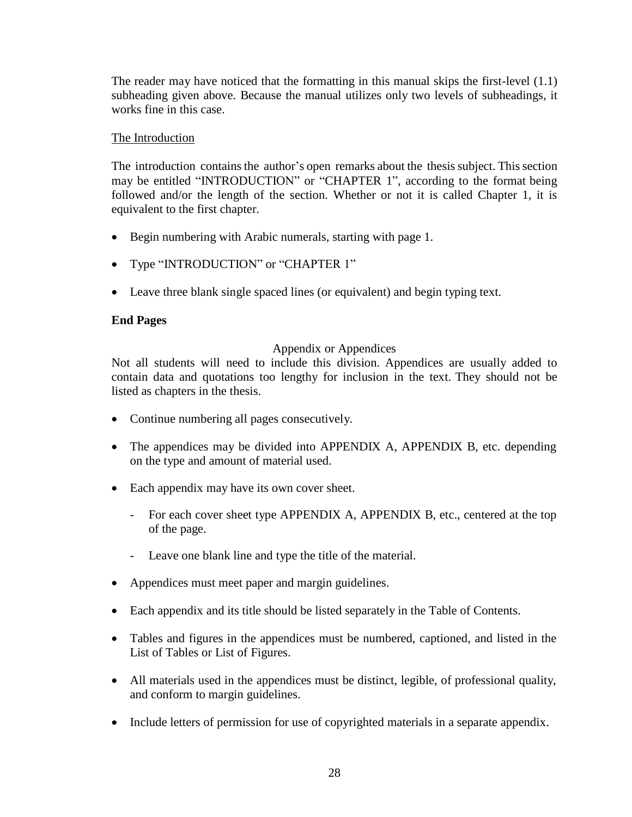The reader may have noticed that the formatting in this manual skips the first-level (1.1) subheading given above. Because the manual utilizes only two levels of subheadings, it works fine in this case.

## The Introduction

The introduction contains the author's open remarks about the thesis subject. This section may be entitled "INTRODUCTION" or "CHAPTER 1", according to the format being followed and/or the length of the section. Whether or not it is called Chapter 1, it is equivalent to the first chapter.

- Begin numbering with Arabic numerals, starting with page 1.
- Type "INTRODUCTION" or "CHAPTER 1"
- Leave three blank single spaced lines (or equivalent) and begin typing text.

## <span id="page-32-0"></span>**End Pages**

## Appendix or Appendices

Not all students will need to include this division. Appendices are usually added to contain data and quotations too lengthy for inclusion in the text. They should not be listed as chapters in the thesis.

- Continue numbering all pages consecutively.
- The appendices may be divided into APPENDIX A, APPENDIX B, etc. depending on the type and amount of material used.
- Each appendix may have its own cover sheet.
	- For each cover sheet type APPENDIX A, APPENDIX B, etc., centered at the top of the page.
	- Leave one blank line and type the title of the material.
- Appendices must meet paper and margin guidelines.
- Each appendix and its title should be listed separately in the Table of Contents.
- Tables and figures in the appendices must be numbered, captioned, and listed in the List of Tables or List of Figures.
- All materials used in the appendices must be distinct, legible, of professional quality, and conform to margin guidelines.
- Include letters of permission for use of copyrighted materials in a separate appendix.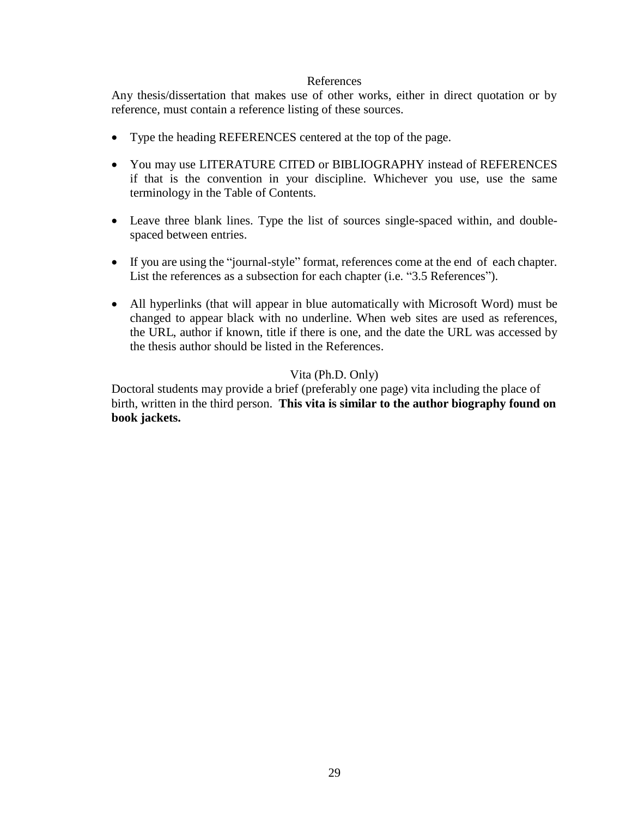#### References

Any thesis/dissertation that makes use of other works, either in direct quotation or by reference, must contain a reference listing of these sources.

- Type the heading REFERENCES centered at the top of the page.
- You may use LITERATURE CITED or BIBLIOGRAPHY instead of REFERENCES if that is the convention in your discipline. Whichever you use, use the same terminology in the Table of Contents.
- Leave three blank lines. Type the list of sources single-spaced within, and doublespaced between entries.
- If you are using the "journal-style" format, references come at the end of each chapter. List the references as a subsection for each chapter (i.e. "3.5 References").
- All hyperlinks (that will appear in blue automatically with Microsoft Word) must be changed to appear black with no underline. When web sites are used as references, the URL, author if known, title if there is one, and the date the URL was accessed by the thesis author should be listed in the References.

## Vita (Ph.D. Only)

Doctoral students may provide a brief (preferably one page) vita including the place of birth, written in the third person. **This vita is similar to the author biography found on book jackets.**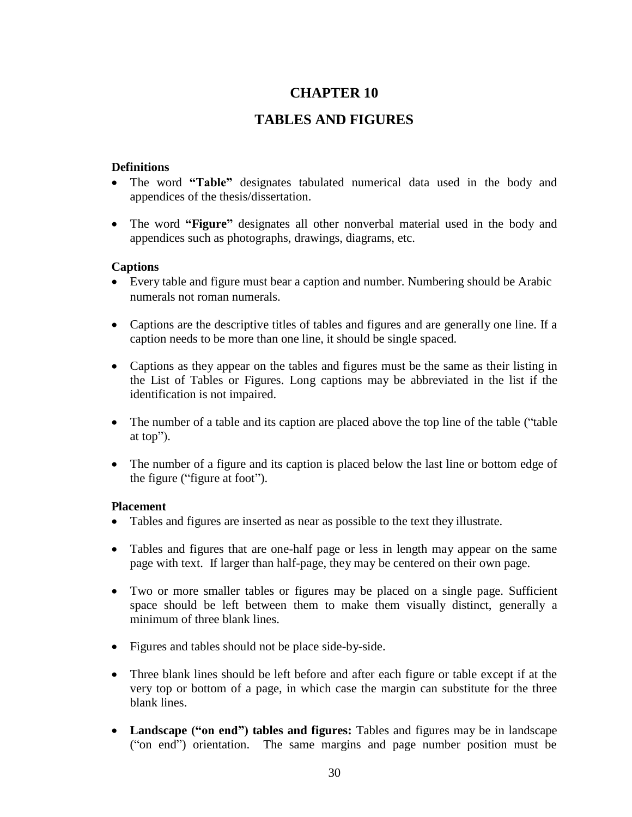## **TABLES AND FIGURES**

## <span id="page-34-1"></span><span id="page-34-0"></span>**Definitions**

- The word **"Table"** designates tabulated numerical data used in the body and appendices of the thesis/dissertation.
- The word **"Figure"** designates all other nonverbal material used in the body and appendices such as photographs, drawings, diagrams, etc.

## <span id="page-34-2"></span>**Captions**

- Every table and figure must bear a caption and number. Numbering should be Arabic numerals not roman numerals.
- Captions are the descriptive titles of tables and figures and are generally one line. If a caption needs to be more than one line, it should be single spaced.
- Captions as they appear on the tables and figures must be the same as their listing in the List of Tables or Figures. Long captions may be abbreviated in the list if the identification is not impaired.
- The number of a table and its caption are placed above the top line of the table ("table" at top").
- The number of a figure and its caption is placed below the last line or bottom edge of the figure ("figure at foot").

## <span id="page-34-3"></span>**Placement**

- Tables and figures are inserted as near as possible to the text they illustrate.
- Tables and figures that are one-half page or less in length may appear on the same page with text. If larger than half-page, they may be centered on their own page.
- Two or more smaller tables or figures may be placed on a single page. Sufficient space should be left between them to make them visually distinct, generally a minimum of three blank lines.
- Figures and tables should not be place side-by-side.
- Three blank lines should be left before and after each figure or table except if at the very top or bottom of a page, in which case the margin can substitute for the three blank lines.
- **Landscape ("on end") tables and figures:** Tables and figures may be in landscape ("on end") orientation. The same margins and page number position must be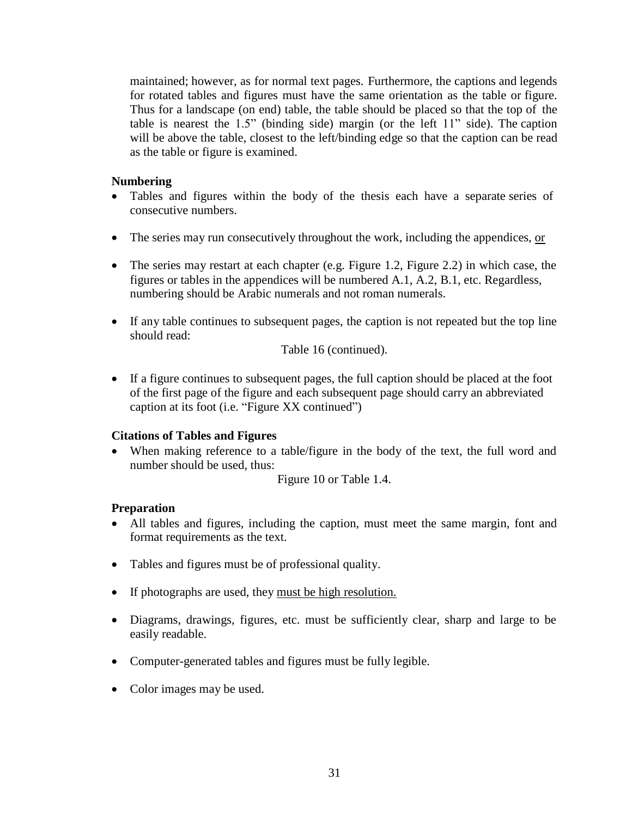maintained; however, as for normal text pages. Furthermore, the captions and legends for rotated tables and figures must have the same orientation as the table or figure. Thus for a landscape (on end) table, the table should be placed so that the top of the table is nearest the 1.5" (binding side) margin (or the left 11" side). The caption will be above the table, closest to the left/binding edge so that the caption can be read as the table or figure is examined.

### <span id="page-35-0"></span>**Numbering**

- Tables and figures within the body of the thesis each have a separate series of consecutive numbers.
- The series may run consecutively throughout the work, including the appendices, or
- The series may restart at each chapter (e.g. Figure 1.2, Figure 2.2) in which case, the figures or tables in the appendices will be numbered A.1, A.2, B.1, etc. Regardless, numbering should be Arabic numerals and not roman numerals.
- If any table continues to subsequent pages, the caption is not repeated but the top line should read:

Table 16 (continued).

 If a figure continues to subsequent pages, the full caption should be placed at the foot of the first page of the figure and each subsequent page should carry an abbreviated caption at its foot (i.e. "Figure XX continued")

## <span id="page-35-1"></span>**Citations of Tables and Figures**

 When making reference to a table/figure in the body of the text, the full word and number should be used, thus:

Figure 10 or Table 1.4.

## <span id="page-35-2"></span>**Preparation**

- All tables and figures, including the caption, must meet the same margin, font and format requirements as the text.
- Tables and figures must be of professional quality.
- If photographs are used, they must be high resolution.
- Diagrams, drawings, figures, etc. must be sufficiently clear, sharp and large to be easily readable.
- Computer-generated tables and figures must be fully legible.
- Color images may be used.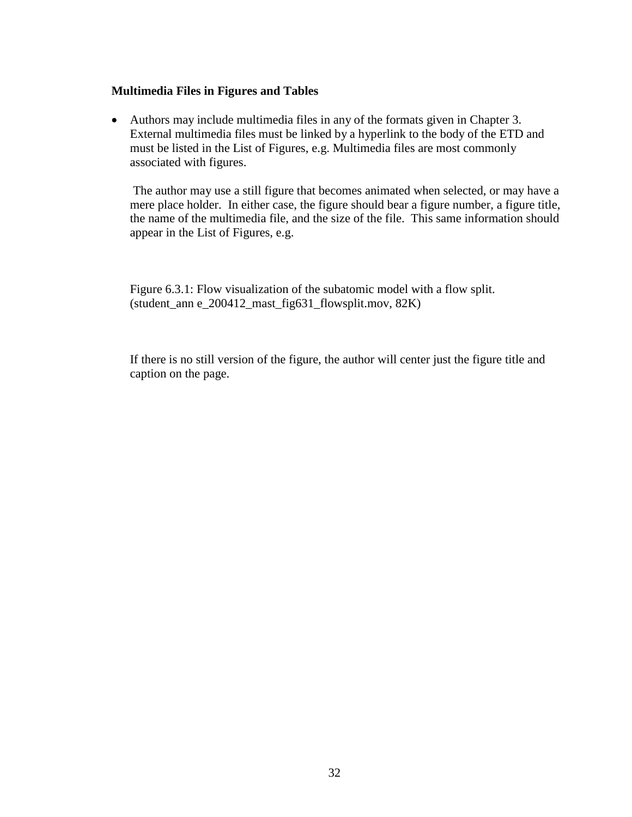## **Multimedia Files in Figures and Tables**

 Authors may include multimedia files in any of the formats given in Chapter 3. External multimedia files must be linked by a hyperlink to the body of the ETD and must be listed in the List of Figures, e.g. Multimedia files are most commonly associated with figures.

The author may use a still figure that becomes animated when selected, or may have a mere place holder. In either case, the figure should bear a figure number, a figure title, the name of the multimedia file, and the size of the file. This same information should appear in the List of Figures, e.g.

Figure 6.3.1: Flow visualization of the subatomic model with a flow split. (student\_ann e\_200412\_mast\_fig631\_flowsplit.mov, 82K)

If there is no still version of the figure, the author will center just the figure title and caption on the page.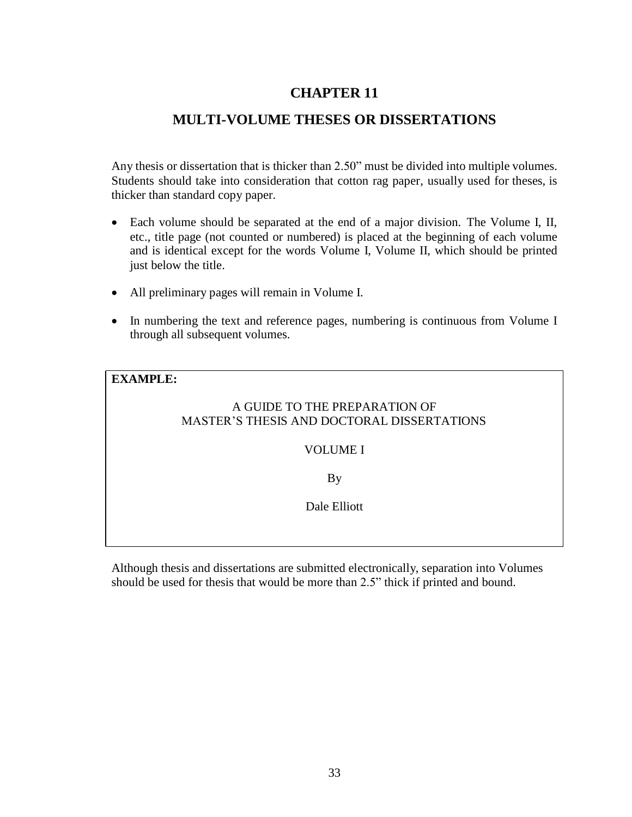## **MULTI-VOLUME THESES OR DISSERTATIONS**

<span id="page-37-0"></span>Any thesis or dissertation that is thicker than 2.50" must be divided into multiple volumes. Students should take into consideration that cotton rag paper, usually used for theses, is thicker than standard copy paper.

- Each volume should be separated at the end of a major division. The Volume I, II, etc., title page (not counted or numbered) is placed at the beginning of each volume and is identical except for the words Volume I, Volume II, which should be printed just below the title.
- All preliminary pages will remain in Volume I.
- In numbering the text and reference pages, numbering is continuous from Volume I through all subsequent volumes.

## **EXAMPLE:**

## A GUIDE TO THE PREPARATION OF MASTER'S THESIS AND DOCTORAL DISSERTATIONS

## VOLUME I

By

Dale Elliott

Although thesis and dissertations are submitted electronically, separation into Volumes should be used for thesis that would be more than 2.5" thick if printed and bound.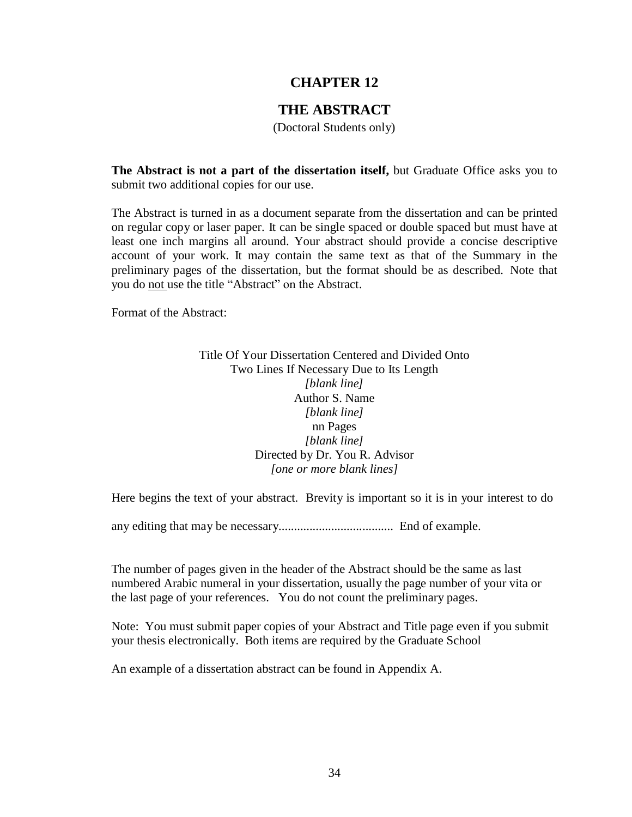## **THE ABSTRACT**

(Doctoral Students only)

<span id="page-38-0"></span>**The Abstract is not a part of the dissertation itself,** but Graduate Office asks you to submit two additional copies for our use.

The Abstract is turned in as a document separate from the dissertation and can be printed on regular copy or laser paper. It can be single spaced or double spaced but must have at least one inch margins all around. Your abstract should provide a concise descriptive account of your work. It may contain the same text as that of the Summary in the preliminary pages of the dissertation, but the format should be as described. Note that you do not use the title "Abstract" on the Abstract.

Format of the Abstract:

## Title Of Your Dissertation Centered and Divided Onto Two Lines If Necessary Due to Its Length *[blank line]*  Author S. Name *[blank line]* nn Pages *[blank line]* Directed by Dr. You R. Advisor *[one or more blank lines]*

Here begins the text of your abstract. Brevity is important so it is in your interest to do

any editing that may be necessary..................................... End of example.

The number of pages given in the header of the Abstract should be the same as last numbered Arabic numeral in your dissertation, usually the page number of your vita or the last page of your references. You do not count the preliminary pages.

Note: You must submit paper copies of your Abstract and Title page even if you submit your thesis electronically. Both items are required by the Graduate School

An example of a dissertation abstract can be found in Appendix A.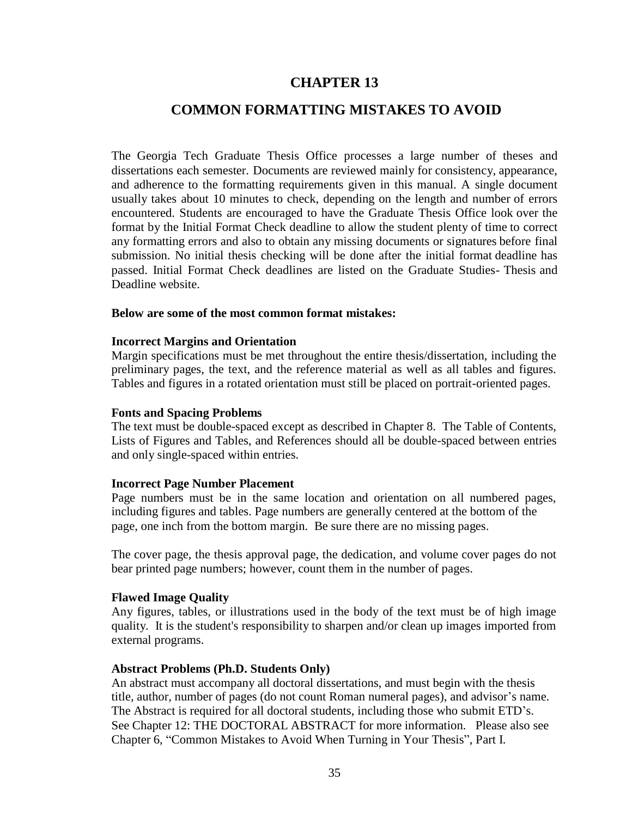## **COMMON FORMATTING MISTAKES TO AVOID**

<span id="page-39-0"></span>The Georgia Tech Graduate Thesis Office processes a large number of theses and dissertations each semester. Documents are reviewed mainly for consistency, appearance, and adherence to the formatting requirements given in this manual. A single document usually takes about 10 minutes to check, depending on the length and number of errors encountered. Students are encouraged to have the Graduate Thesis Office look over the format by the Initial Format Check deadline to allow the student plenty of time to correct any formatting errors and also to obtain any missing documents or signatures before final submission. No initial thesis checking will be done after the initial format deadline has passed. Initial Format Check deadlines are listed on the Graduate Studies- Thesis and Deadline website.

#### <span id="page-39-1"></span>**Below are some of the most common format mistakes:**

#### **Incorrect Margins and Orientation**

Margin specifications must be met throughout the entire thesis/dissertation, including the preliminary pages, the text, and the reference material as well as all tables and figures. Tables and figures in a rotated orientation must still be placed on portrait-oriented pages.

#### <span id="page-39-2"></span>**Fonts and Spacing Problems**

The text must be double-spaced except as described in Chapter 8. The Table of Contents, Lists of Figures and Tables, and References should all be double-spaced between entries and only single-spaced within entries.

#### <span id="page-39-3"></span>**Incorrect Page Number Placement**

Page numbers must be in the same location and orientation on all numbered pages, including figures and tables. Page numbers are generally centered at the bottom of the page, one inch from the bottom margin. Be sure there are no missing pages.

The cover page, the thesis approval page, the dedication, and volume cover pages do not bear printed page numbers; however, count them in the number of pages.

#### <span id="page-39-4"></span>**Flawed Image Quality**

Any figures, tables, or illustrations used in the body of the text must be of high image quality. It is the student's responsibility to sharpen and/or clean up images imported from external programs.

#### <span id="page-39-5"></span>**Abstract Problems (Ph.D. Students Only)**

An abstract must accompany all doctoral dissertations, and must begin with the thesis title, author, number of pages (do not count Roman numeral pages), and advisor's name. The Abstract is required for all doctoral students, including those who submit ETD's. See Chapter 12: THE DOCTORAL ABSTRACT for more information. Please also see Chapter 6, "Common Mistakes to Avoid When Turning in Your Thesis", Part I.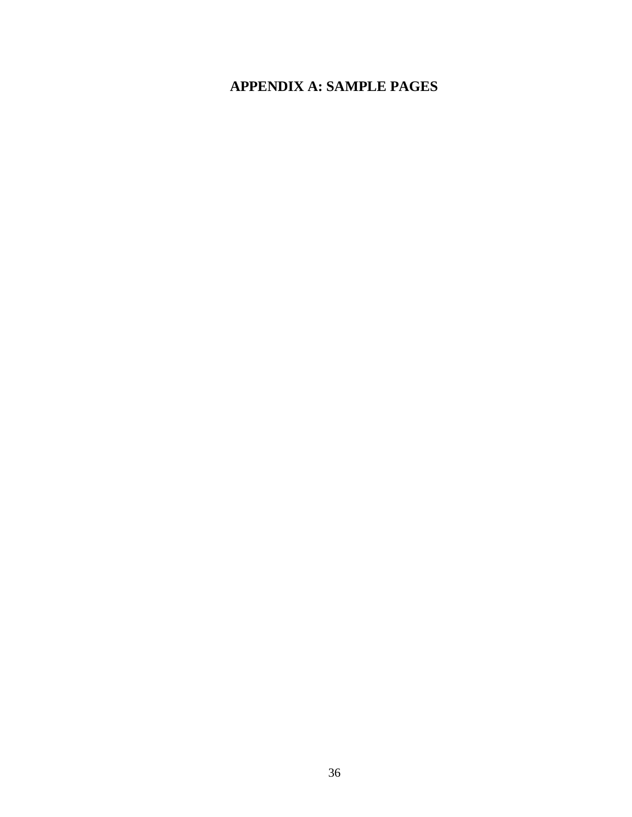## <span id="page-40-0"></span>**APPENDIX A: SAMPLE PAGES**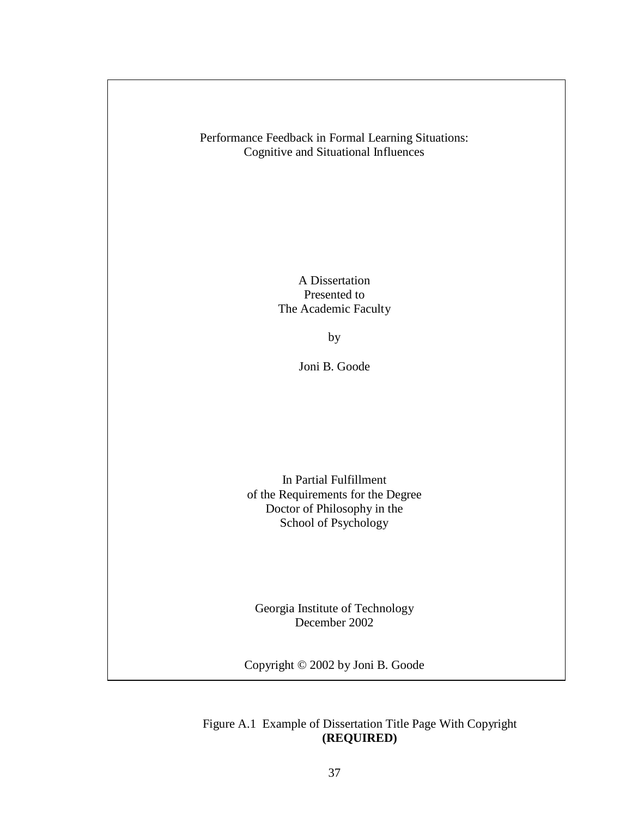Performance Feedback in Formal Learning Situations: Cognitive and Situational Influences

> A Dissertation Presented to The Academic Faculty

> > by

Joni B. Goode

In Partial Fulfillment of the Requirements for the Degree Doctor of Philosophy in the School of Psychology

Georgia Institute of Technology December 2002

Copyright © 2002 by Joni B. Goode

Figure A.1 Example of Dissertation Title Page With Copyright **(REQUIRED)**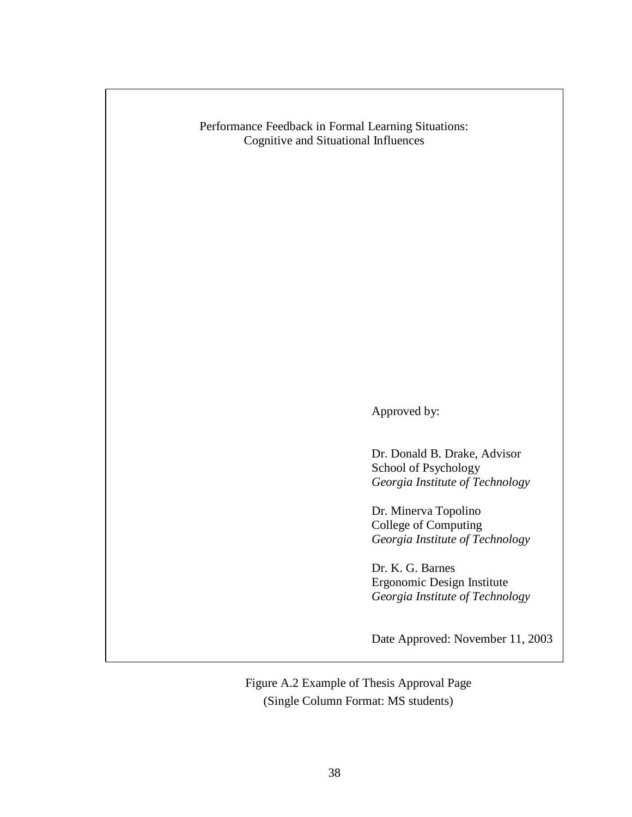Performance Feedback in Formal Learning Situations: Cognitive and Situational Influences

Approved by:

Dr. Donald B. Drake, Advisor School of Psychology *Georgia Institute of Technology*

Dr. Minerva Topolino College of Computing *Georgia Institute of Technology*

Dr. K. G. Barnes Ergonomic Design Institute *Georgia Institute of Technology*

Date Approved: November 11, 2003

Figure A.2 Example of Thesis Approval Page (Single Column Format: MS students)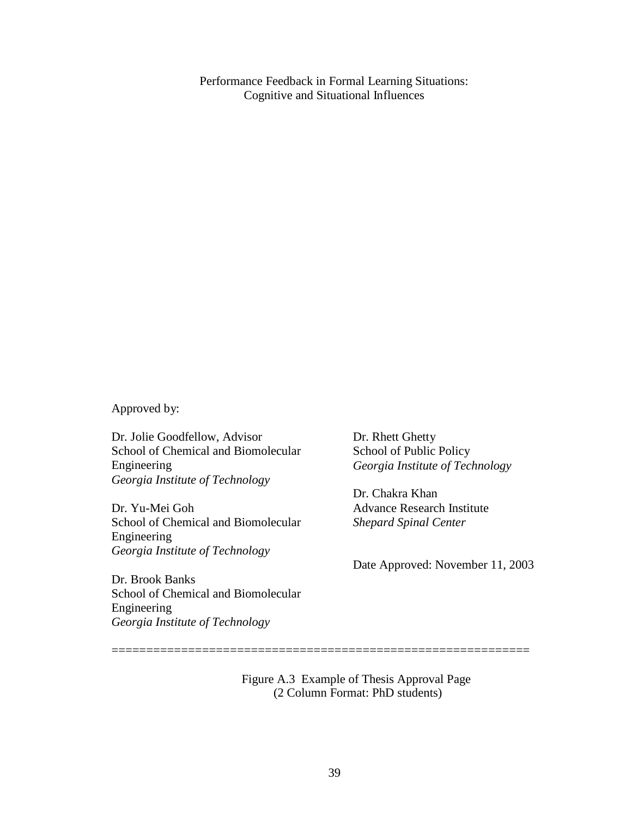Performance Feedback in Formal Learning Situations: Cognitive and Situational Influences

Approved by:

Dr. Jolie Goodfellow, Advisor School of Chemical and Biomolecular Engineering *Georgia Institute of Technology*

Dr. Yu-Mei Goh School of Chemical and Biomolecular Engineering *Georgia Institute of Technology*

Dr. Rhett Ghetty School of Public Policy *Georgia Institute of Technology*

Dr. Chakra Khan Advance Research Institute *Shepard Spinal Center*

Date Approved: November 11, 2003

Dr. Brook Banks School of Chemical and Biomolecular Engineering *Georgia Institute of Technology*

> Figure A.3 Example of Thesis Approval Page (2 Column Format: PhD students)

============================================================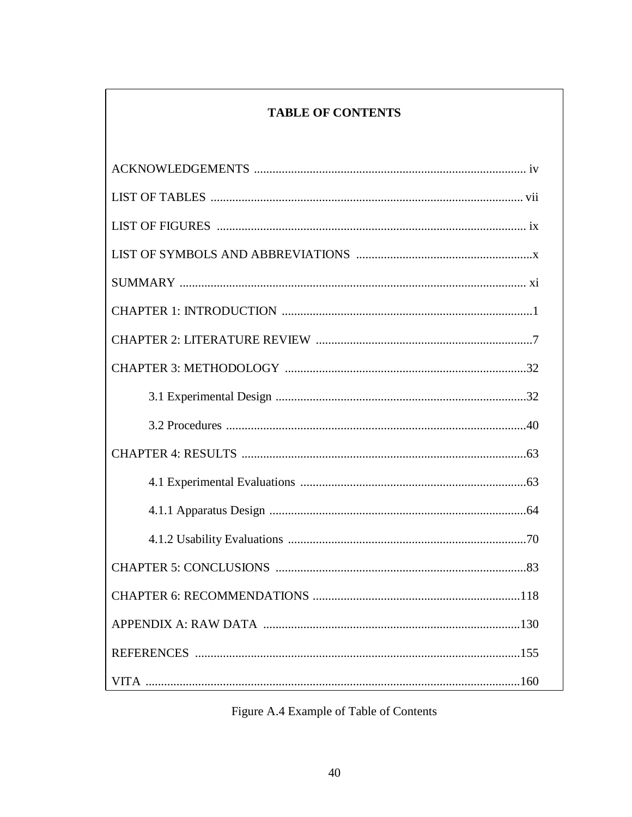## **TABLE OF CONTENTS**

<span id="page-44-0"></span>

# Figure A.4 Example of Table of Contents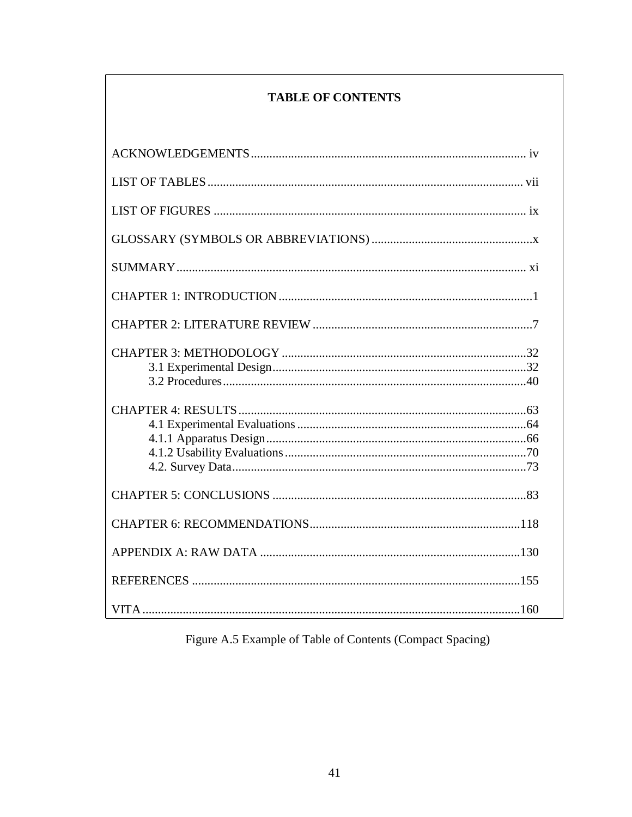## **TABLE OF CONTENTS**

Figure A.5 Example of Table of Contents (Compact Spacing)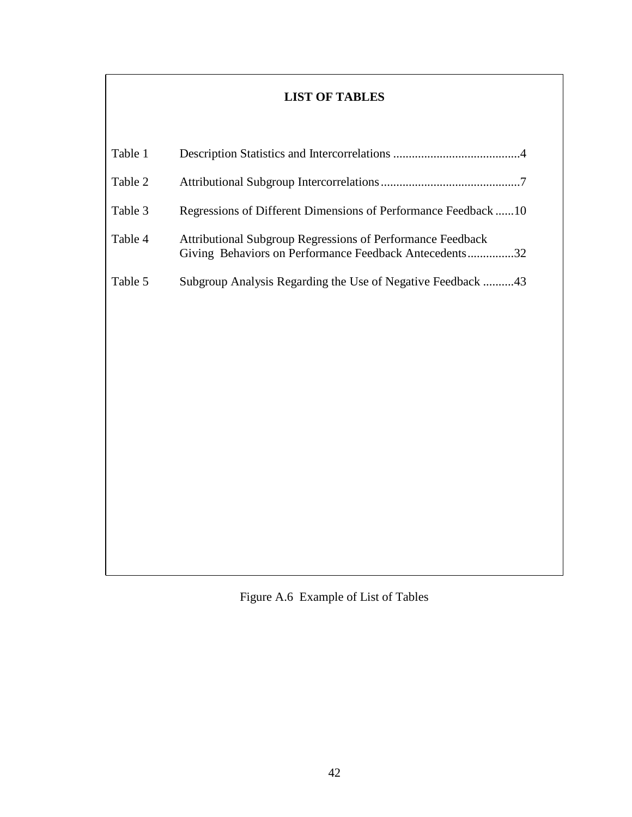## **LIST OF TABLES**

<span id="page-46-0"></span>

| Table 1 |                                                                                                                      |
|---------|----------------------------------------------------------------------------------------------------------------------|
| Table 2 |                                                                                                                      |
| Table 3 | Regressions of Different Dimensions of Performance Feedback 10                                                       |
| Table 4 | Attributional Subgroup Regressions of Performance Feedback<br>Giving Behaviors on Performance Feedback Antecedents32 |
| Table 5 | Subgroup Analysis Regarding the Use of Negative Feedback 43                                                          |
|         |                                                                                                                      |
|         |                                                                                                                      |
|         |                                                                                                                      |
|         |                                                                                                                      |
|         |                                                                                                                      |
|         |                                                                                                                      |
|         |                                                                                                                      |
|         |                                                                                                                      |
|         |                                                                                                                      |
|         |                                                                                                                      |

Figure A.6 Example of List of Tables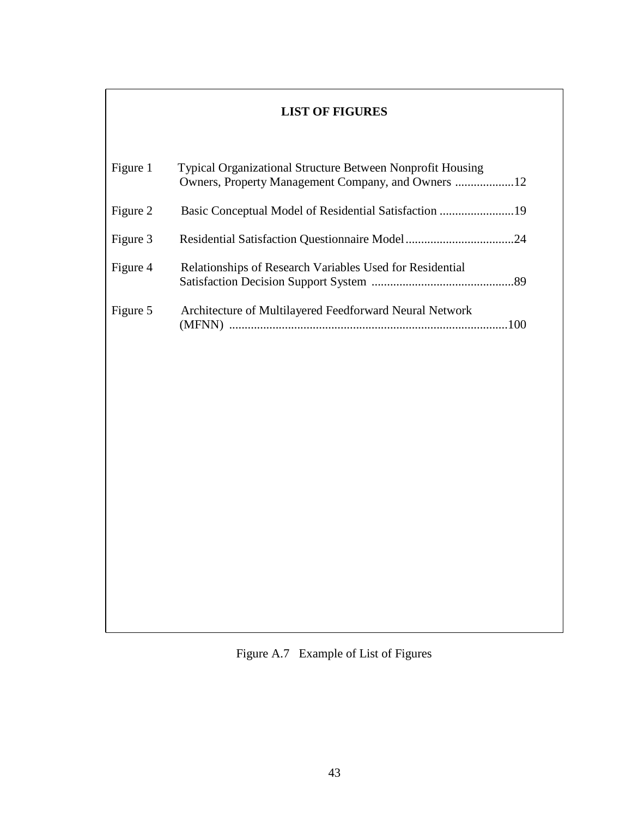## **LIST OF FIGURES**

<span id="page-47-0"></span>

| Figure 1 | <b>Typical Organizational Structure Between Nonprofit Housing</b> |  |
|----------|-------------------------------------------------------------------|--|
| Figure 2 |                                                                   |  |
| Figure 3 |                                                                   |  |
| Figure 4 | Relationships of Research Variables Used for Residential          |  |
| Figure 5 | Architecture of Multilayered Feedforward Neural Network           |  |

Figure A.7 Example of List of Figures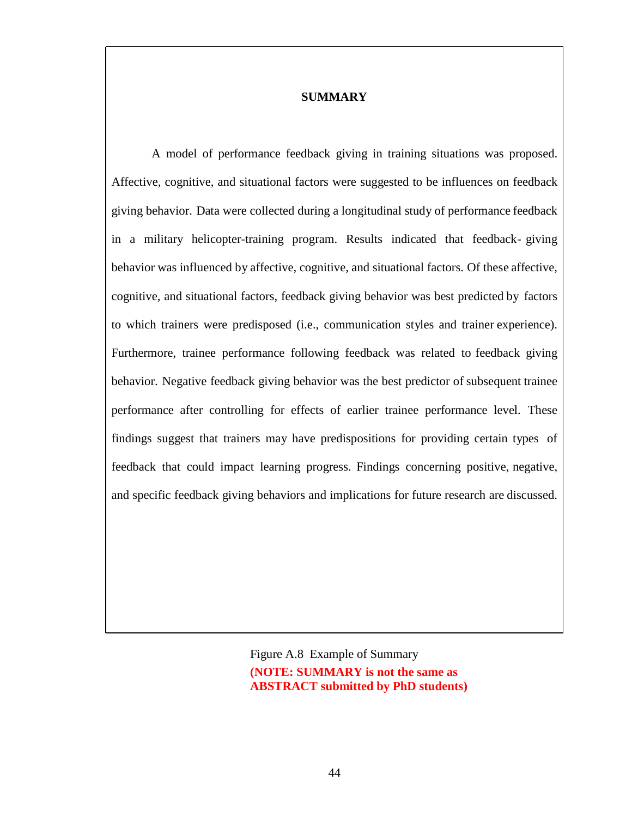### **SUMMARY**

<span id="page-48-0"></span>A model of performance feedback giving in training situations was proposed. Affective, cognitive, and situational factors were suggested to be influences on feedback giving behavior. Data were collected during a longitudinal study of performance feedback in a military helicopter-training program. Results indicated that feedback- giving behavior was influenced by affective, cognitive, and situational factors. Of these affective, cognitive, and situational factors, feedback giving behavior was best predicted by factors to which trainers were predisposed (i.e., communication styles and trainer experience). Furthermore, trainee performance following feedback was related to feedback giving behavior. Negative feedback giving behavior was the best predictor of subsequent trainee performance after controlling for effects of earlier trainee performance level. These findings suggest that trainers may have predispositions for providing certain types of feedback that could impact learning progress. Findings concerning positive, negative, and specific feedback giving behaviors and implications for future research are discussed.

> Figure A.8 Example of Summary **(NOTE: SUMMARY is not the same as ABSTRACT submitted by PhD students)**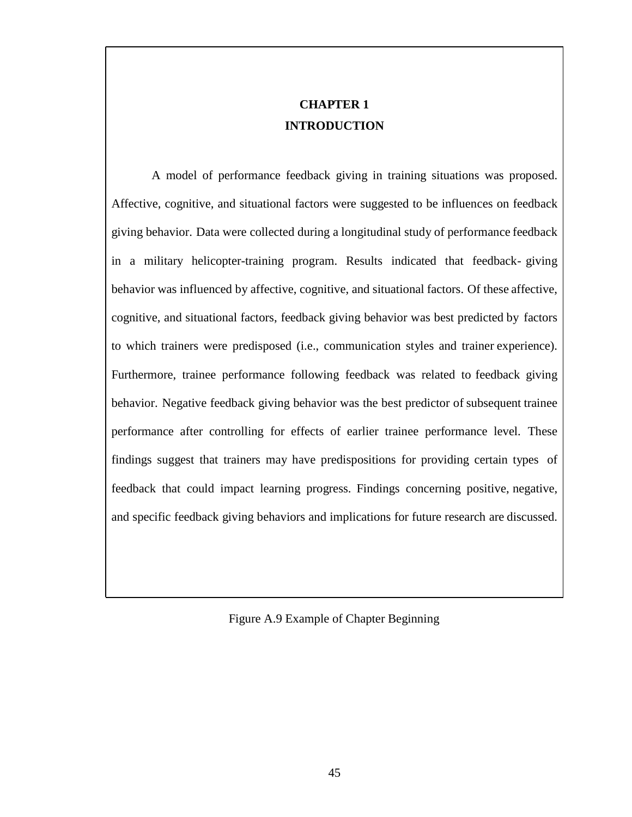## **CHAPTER 1 INTRODUCTION**

A model of performance feedback giving in training situations was proposed. Affective, cognitive, and situational factors were suggested to be influences on feedback giving behavior. Data were collected during a longitudinal study of performance feedback in a military helicopter-training program. Results indicated that feedback- giving behavior was influenced by affective, cognitive, and situational factors. Of these affective, cognitive, and situational factors, feedback giving behavior was best predicted by factors to which trainers were predisposed (i.e., communication styles and trainer experience). Furthermore, trainee performance following feedback was related to feedback giving behavior. Negative feedback giving behavior was the best predictor of subsequent trainee performance after controlling for effects of earlier trainee performance level. These findings suggest that trainers may have predispositions for providing certain types of feedback that could impact learning progress. Findings concerning positive, negative, and specific feedback giving behaviors and implications for future research are discussed.

Figure A.9 Example of Chapter Beginning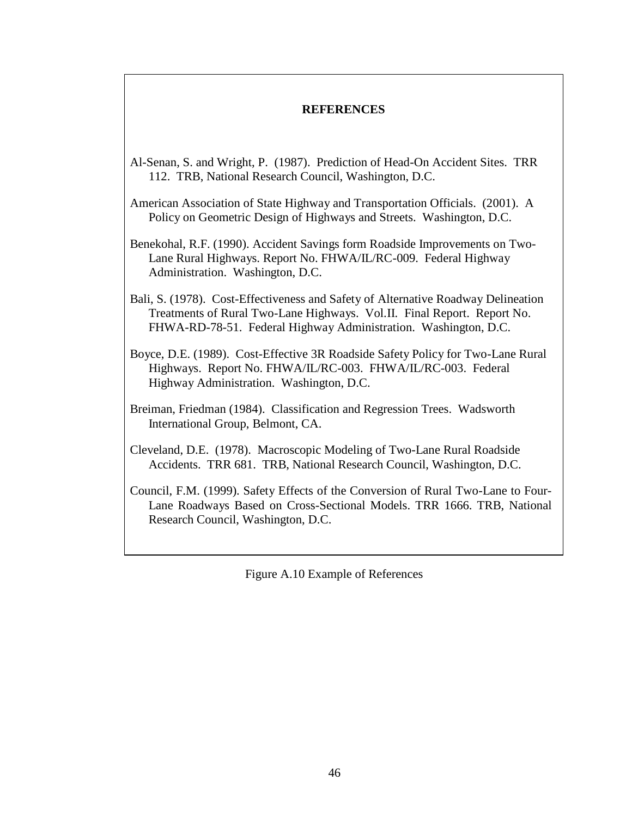## **REFERENCES**

- <span id="page-50-0"></span>Al-Senan, S. and Wright, P. (1987). Prediction of Head-On Accident Sites. TRR 112. TRB, National Research Council, Washington, D.C.
- American Association of State Highway and Transportation Officials. (2001). A Policy on Geometric Design of Highways and Streets. Washington, D.C.
- Benekohal, R.F. (1990). Accident Savings form Roadside Improvements on Two-Lane Rural Highways. Report No. FHWA/IL/RC-009. Federal Highway Administration. Washington, D.C.
- Bali, S. (1978). Cost-Effectiveness and Safety of Alternative Roadway Delineation Treatments of Rural Two-Lane Highways. Vol.II. Final Report. Report No. FHWA-RD-78-51. Federal Highway Administration. Washington, D.C.
- Boyce, D.E. (1989). Cost-Effective 3R Roadside Safety Policy for Two-Lane Rural Highways. Report No. FHWA/IL/RC-003. FHWA/IL/RC-003. Federal Highway Administration. Washington, D.C.
- Breiman, Friedman (1984). Classification and Regression Trees. Wadsworth International Group, Belmont, CA.
- Cleveland, D.E. (1978). Macroscopic Modeling of Two-Lane Rural Roadside Accidents. TRR 681. TRB, National Research Council, Washington, D.C.
- Council, F.M. (1999). Safety Effects of the Conversion of Rural Two-Lane to Four-Lane Roadways Based on Cross-Sectional Models. TRR 1666. TRB, National Research Council, Washington, D.C.

Figure A.10 Example of References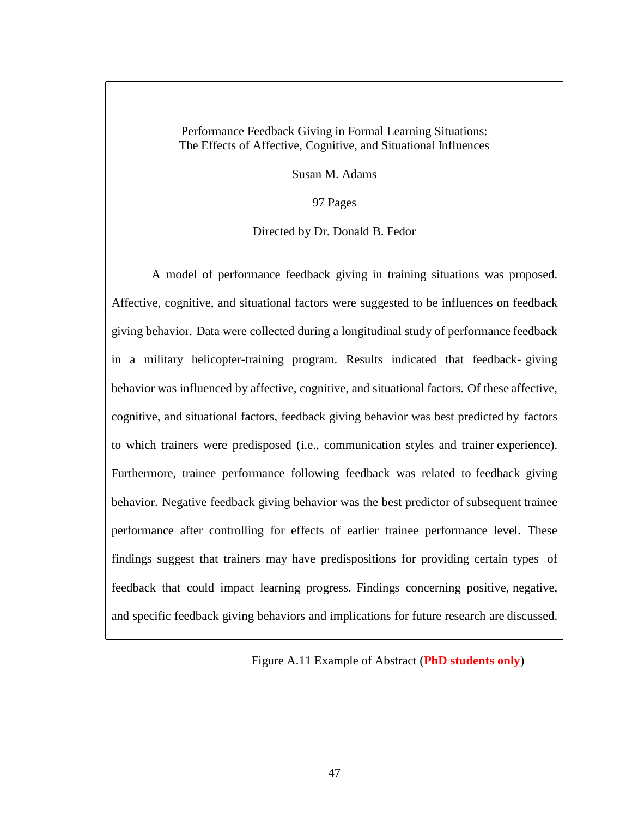Performance Feedback Giving in Formal Learning Situations: The Effects of Affective, Cognitive, and Situational Influences

Susan M. Adams

97 Pages

Directed by Dr. Donald B. Fedor

A model of performance feedback giving in training situations was proposed. Affective, cognitive, and situational factors were suggested to be influences on feedback giving behavior. Data were collected during a longitudinal study of performance feedback in a military helicopter-training program. Results indicated that feedback- giving behavior was influenced by affective, cognitive, and situational factors. Of these affective, cognitive, and situational factors, feedback giving behavior was best predicted by factors to which trainers were predisposed (i.e., communication styles and trainer experience). Furthermore, trainee performance following feedback was related to feedback giving behavior. Negative feedback giving behavior was the best predictor of subsequent trainee performance after controlling for effects of earlier trainee performance level. These findings suggest that trainers may have predispositions for providing certain types of feedback that could impact learning progress. Findings concerning positive, negative, and specific feedback giving behaviors and implications for future research are discussed.

Figure A.11 Example of Abstract (**PhD students only**)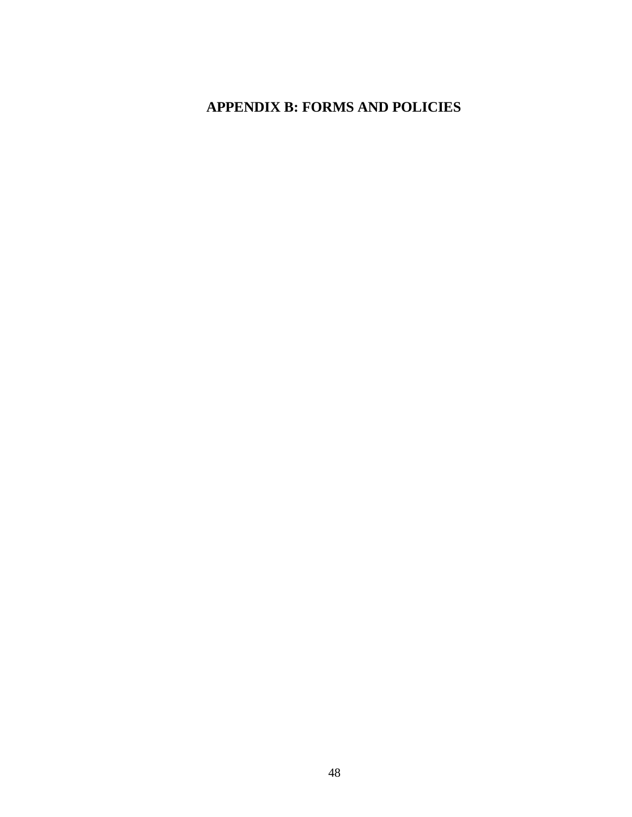# <span id="page-52-0"></span>**APPENDIX B: FORMS AND POLICIES**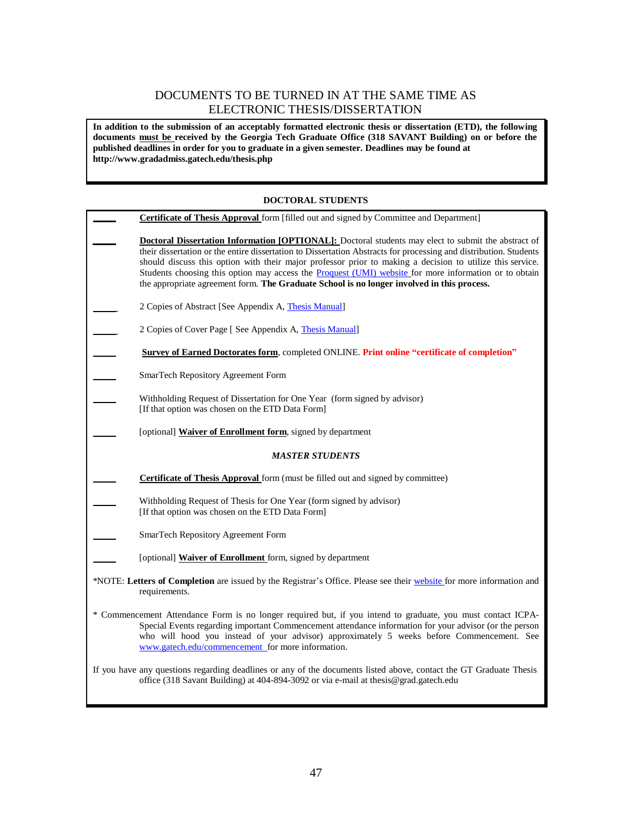## DOCUMENTS TO BE TURNED IN AT THE SAME TIME AS ELECTRONIC THESIS/DISSERTATION

**In addition to the submission of an acceptably formatted electronic thesis or dissertation (ETD), the following documents must be received by the Georgia Tech Graduate Office (318 SAVANT Building) on or before the published deadlines in order for you to graduate in a given semester. Deadlines may be found a[t](http://www.gradadmiss.gatech.edu/thesis.php) <http://www.gradadmiss.gatech.edu/thesis.php>**

#### **DOCTORAL STUDENTS**

|                                                                                                                                       | <b>Certificate of Thesis Approval</b> form [filled out and signed by Committee and Department]                                                                                                                                                                                                                                                                                                                                                                                                                                                      |  |
|---------------------------------------------------------------------------------------------------------------------------------------|-----------------------------------------------------------------------------------------------------------------------------------------------------------------------------------------------------------------------------------------------------------------------------------------------------------------------------------------------------------------------------------------------------------------------------------------------------------------------------------------------------------------------------------------------------|--|
|                                                                                                                                       | <b>Doctoral Dissertation Information [OPTIONAL]:</b> Doctoral students may elect to submit the abstract of<br>their dissertation or the entire dissertation to Dissertation Abstracts for processing and distribution. Students<br>should discuss this option with their major professor prior to making a decision to utilize this service.<br>Students choosing this option may access the Proquest (UMI) website for more information or to obtain<br>the appropriate agreement form. The Graduate School is no longer involved in this process. |  |
|                                                                                                                                       | 2 Copies of Abstract [See Appendix A, Thesis Manual]                                                                                                                                                                                                                                                                                                                                                                                                                                                                                                |  |
|                                                                                                                                       | 2 Copies of Cover Page [ See Appendix A, Thesis Manual]                                                                                                                                                                                                                                                                                                                                                                                                                                                                                             |  |
|                                                                                                                                       | <b>Survey of Earned Doctorates form, completed ONLINE. Print online "certificate of completion"</b>                                                                                                                                                                                                                                                                                                                                                                                                                                                 |  |
|                                                                                                                                       | SmarTech Repository Agreement Form                                                                                                                                                                                                                                                                                                                                                                                                                                                                                                                  |  |
|                                                                                                                                       | Withholding Request of Dissertation for One Year (form signed by advisor)<br>[If that option was chosen on the ETD Data Form]                                                                                                                                                                                                                                                                                                                                                                                                                       |  |
|                                                                                                                                       | [optional] <b>Waiver of Enrollment form</b> , signed by department                                                                                                                                                                                                                                                                                                                                                                                                                                                                                  |  |
| <b>MASTER STUDENTS</b>                                                                                                                |                                                                                                                                                                                                                                                                                                                                                                                                                                                                                                                                                     |  |
|                                                                                                                                       | <b>Certificate of Thesis Approval</b> form (must be filled out and signed by committee)                                                                                                                                                                                                                                                                                                                                                                                                                                                             |  |
|                                                                                                                                       | Withholding Request of Thesis for One Year (form signed by advisor)<br>[If that option was chosen on the ETD Data Form]                                                                                                                                                                                                                                                                                                                                                                                                                             |  |
|                                                                                                                                       | SmarTech Repository Agreement Form                                                                                                                                                                                                                                                                                                                                                                                                                                                                                                                  |  |
|                                                                                                                                       | [optional] Waiver of Enrollment form, signed by department                                                                                                                                                                                                                                                                                                                                                                                                                                                                                          |  |
| *NOTE: Letters of Completion are issued by the Registrar's Office. Please see their website for more information and<br>requirements. |                                                                                                                                                                                                                                                                                                                                                                                                                                                                                                                                                     |  |
|                                                                                                                                       | * Commencement Attendance Form is no longer required but, if you intend to graduate, you must contact ICPA-<br>Special Events regarding important Commencement attendance information for your advisor (or the person<br>who will hood you instead of your advisor) approximately 5 weeks before Commencement. See<br>www.gatech.edu/commencement_for more information.                                                                                                                                                                             |  |
|                                                                                                                                       | If you have any questions regarding deadlines or any of the documents listed above, contact the GT Graduate Thesis<br>office (318 Savant Building) at 404-894-3092 or via e-mail at thesis@grad.gatech.edu                                                                                                                                                                                                                                                                                                                                          |  |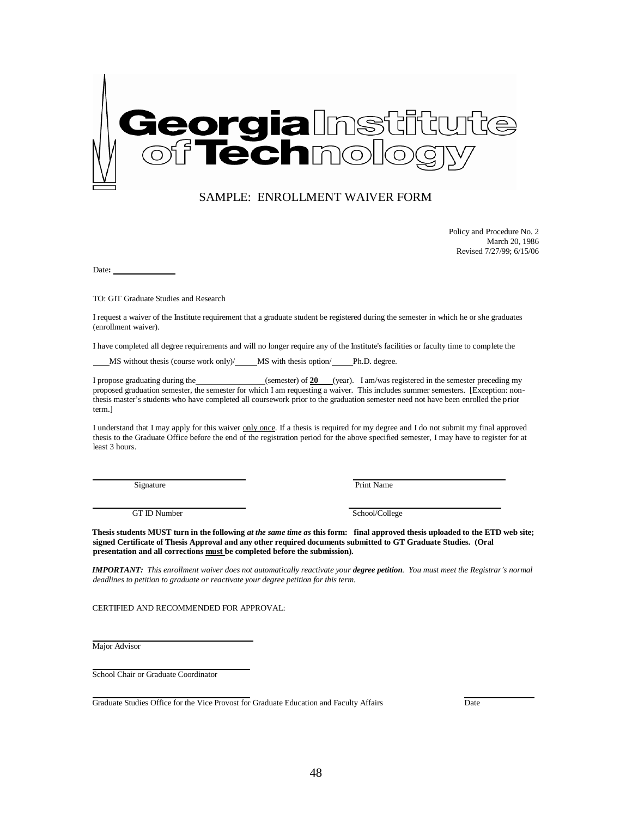

#### SAMPLE: ENROLLMENT WAIVER FORM

Policy and Procedure No. 2 March 20, 1986 Revised 7/27/99; 6/15/06

Date**:** 

TO: GIT Graduate Studies and Research

I request a waiver of the Institute requirement that a graduate student be registered during the semester in which he or she graduates (enrollment waiver).

I have completed all degree requirements and will no longer require any of the Institute's facilities or faculty time to complete the

MS without thesis (course work only)/\_\_\_\_\_MS with thesis option/\_\_\_\_\_Ph.D. degree.

I propose graduating during the (semester) of **20** (year). I am/was registered in the semester preceding my proposed graduation semester, the semester for which I am requesting a waiver. This includes summer semesters. [Exception: nonthesis master's students who have completed all coursework prior to the graduation semester need not have been enrolled the prior term.]

I understand that I may apply for this waiver only once. If a thesis is required for my degree and I do not submit my final approved thesis to the Graduate Office before the end of the registration period for the above specified semester, I may have to register for at least 3 hours.

Signature Print Name

GT ID Number School/College

Thesis students MUST turn in the following at the same time as this form: final approved thesis uploaded to the ETD web site; **signed Certificate of Thesis Approval and any other required documents submitted to GT Graduate Studies. (Oral presentation and all corrections must be completed before the submission).**

**IMPORTANT:** This enrollment waiver does not automatically reactivate your degree petition. You must meet the Registrar's normal *deadlines to petition to graduate or reactivate your degree petition for this term.*

CERTIFIED AND RECOMMENDED FOR APPROVAL:

Major Advisor

School Chair or Graduate Coordinator

Graduate Studies Office for the Vice Provost for Graduate Education and Faculty Affairs Date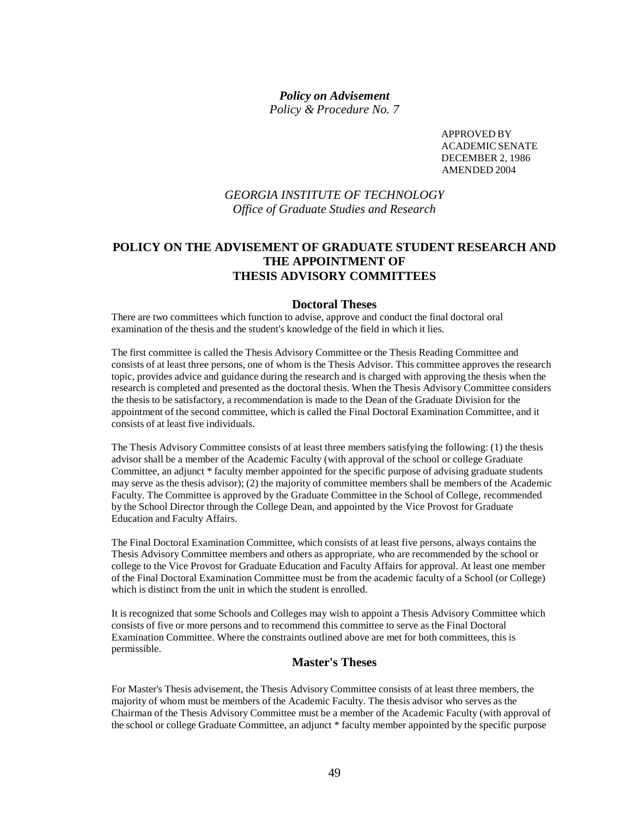#### *Policy on Advisement Policy & Procedure No. 7*

APPROVED BY ACADEMICSENATE DECEMBER 2, 1986 AMENDED 2004

## *GEORGIA INSTITUTE OF TECHNOLOGY Office of Graduate Studies and Research*

## **POLICY ON THE ADVISEMENT OF GRADUATE STUDENT RESEARCH AND THE APPOINTMENT OF THESIS ADVISORY COMMITTEES**

#### **Doctoral Theses**

There are two committees which function to advise, approve and conduct the final doctoral oral examination of the thesis and the student's knowledge of the field in which it lies.

The first committee is called the Thesis Advisory Committee or the Thesis Reading Committee and consists of at least three persons, one of whom is the Thesis Advisor. This committee approves the research topic, provides advice and guidance during the research and is charged with approving the thesis when the research is completed and presented as the doctoral thesis. When the Thesis Advisory Committee considers the thesis to be satisfactory, a recommendation is made to the Dean of the Graduate Division for the appointment of the second committee, which is called the Final Doctoral Examination Committee, and it consists of at least five individuals.

The Thesis Advisory Committee consists of at least three members satisfying the following: (1) the thesis advisor shall be a member of the Academic Faculty (with approval of the school or college Graduate Committee, an adjunct \* faculty member appointed for the specific purpose of advising graduate students may serve as the thesis advisor); (2) the majority of committee members shall be members of the Academic Faculty. The Committee is approved by the Graduate Committee in the School of College, recommended by the School Director through the College Dean, and appointed by the Vice Provost for Graduate Education and Faculty Affairs.

The Final Doctoral Examination Committee, which consists of at least five persons, always contains the Thesis Advisory Committee members and others as appropriate, who are recommended by the school or college to the Vice Provost for Graduate Education and Faculty Affairs for approval. At least one member of the Final Doctoral Examination Committee must be from the academic faculty of a School (or College) which is distinct from the unit in which the student is enrolled.

It is recognized that some Schools and Colleges may wish to appoint a Thesis Advisory Committee which consists of five or more persons and to recommend this committee to serve as the Final Doctoral Examination Committee. Where the constraints outlined above are met for both committees, this is permissible.

#### **Master's Theses**

For Master's Thesis advisement, the Thesis Advisory Committee consists of at least three members, the majority of whom must be members of the Academic Faculty. The thesis advisor who serves as the Chairman of the Thesis Advisory Committee must be a member of the Academic Faculty (with approval of the school or college Graduate Committee, an adjunct \* faculty member appointed by the specific purpose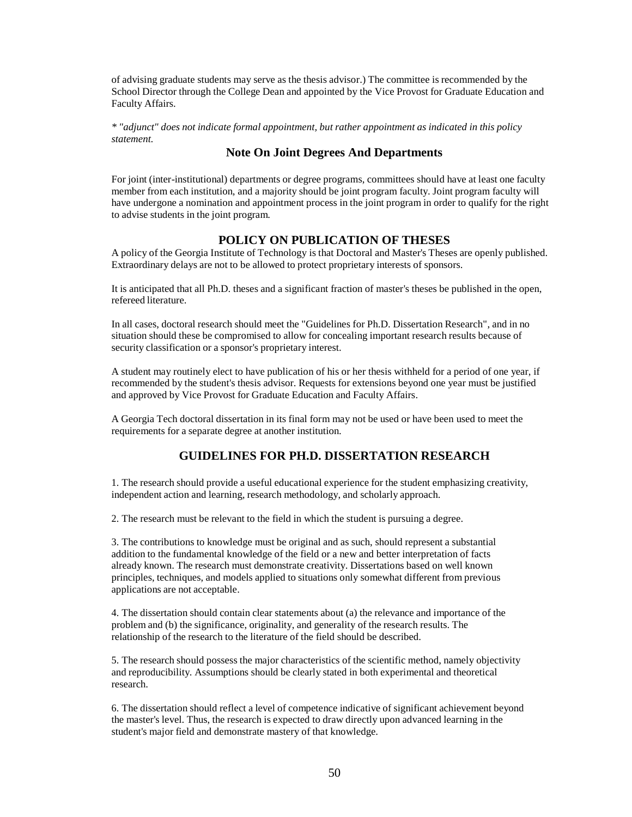of advising graduate students may serve as the thesis advisor.) The committee is recommended by the School Director through the College Dean and appointed by the Vice Provost for Graduate Education and Faculty Affairs.

*\* "adjunct" does not indicate formal appointment, but rather appointment as indicated in this policy statement.*

#### **Note On Joint Degrees And Departments**

For joint (inter-institutional) departments or degree programs, committees should have at least one faculty member from each institution, and a majority should be joint program faculty. Joint program faculty will have undergone a nomination and appointment process in the joint program in order to qualify for the right to advise students in the joint program.

#### **POLICY ON PUBLICATION OF THESES**

A policy of the Georgia Institute of Technology is that Doctoral and Master's Theses are openly published. Extraordinary delays are not to be allowed to protect proprietary interests of sponsors.

It is anticipated that all Ph.D. theses and a significant fraction of master's theses be published in the open, refereed literature.

In all cases, doctoral research should meet the "Guidelines for Ph.D. Dissertation Research", and in no situation should these be compromised to allow for concealing important research results because of security classification or a sponsor's proprietary interest.

A student may routinely elect to have publication of his or her thesis withheld for a period of one year, if recommended by the student's thesis advisor. Requests for extensions beyond one year must be justified and approved by Vice Provost for Graduate Education and Faculty Affairs.

A Georgia Tech doctoral dissertation in its final form may not be used or have been used to meet the requirements for a separate degree at another institution.

#### **GUIDELINES FOR PH.D. DISSERTATION RESEARCH**

1. The research should provide a useful educational experience for the student emphasizing creativity, independent action and learning, research methodology, and scholarly approach.

2. The research must be relevant to the field in which the student is pursuing a degree.

3. The contributions to knowledge must be original and as such, should represent a substantial addition to the fundamental knowledge of the field or a new and better interpretation of facts already known. The research must demonstrate creativity. Dissertations based on well known principles, techniques, and models applied to situations only somewhat different from previous applications are not acceptable.

4. The dissertation should contain clear statements about (a) the relevance and importance of the problem and (b) the significance, originality, and generality of the research results. The relationship of the research to the literature of the field should be described.

5. The research should possess the major characteristics of the scientific method, namely objectivity and reproducibility. Assumptions should be clearly stated in both experimental and theoretical research.

6. The dissertation should reflect a level of competence indicative of significant achievement beyond the master's level. Thus, the research is expected to draw directly upon advanced learning in the student's major field and demonstrate mastery of that knowledge.